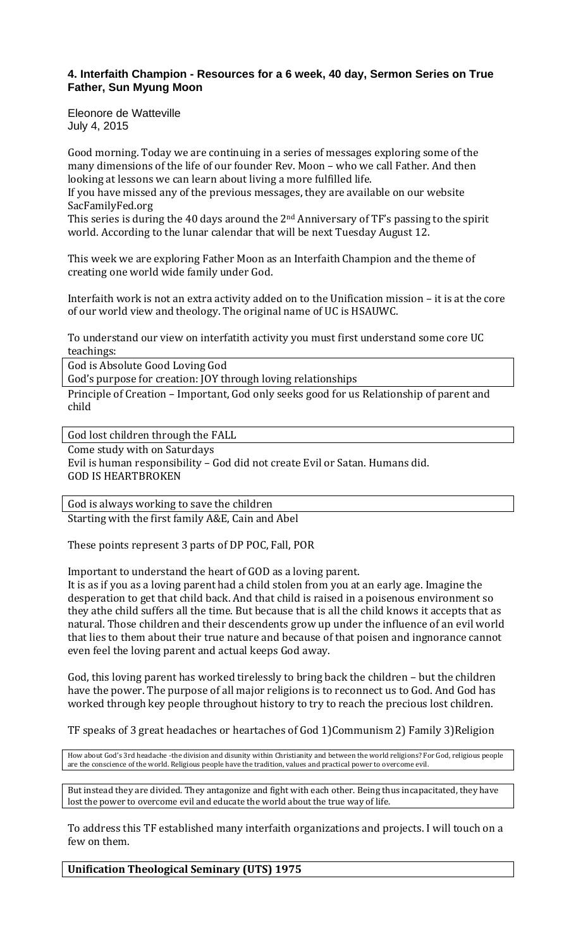# **4. Interfaith Champion - Resources for a 6 week, 40 day, Sermon Series on True Father, Sun Myung Moon**

Eleonore de Watteville July 4, 2015

Good morning. Today we are continuing in a series of messages exploring some of the many dimensions of the life of our founder Rev. Moon – who we call Father. And then looking at lessons we can learn about living a more fulfilled life.

If you have missed any of the previous messages, they are available on our website SacFamilyFed.org

This series is during the 40 days around the 2<sup>nd</sup> Anniversary of TF's passing to the spirit world. According to the lunar calendar that will be next Tuesday August 12.

This week we are exploring Father Moon as an Interfaith Champion and the theme of creating one world wide family under God.

Interfaith work is not an extra activity added on to the Unification mission – it is at the core of our world view and theology. The original name of UC is HSAUWC.

To understand our view on interfatith activity you must first understand some core UC teachings:

God is Absolute Good Loving God

God's purpose for creation: JOY through loving relationships

Principle of Creation – Important, God only seeks good for us Relationship of parent and child

God lost children through the FALL

Come study with on Saturdays Evil is human responsibility – God did not create Evil or Satan. Humans did. GOD IS HEARTBROKEN

God is always working to save the children Starting with the first family A&E, Cain and Abel

These points represent 3 parts of DP POC, Fall, POR

Important to understand the heart of GOD as a loving parent.

It is as if you as a loving parent had a child stolen from you at an early age. Imagine the desperation to get that child back. And that child is raised in a poisenous environment so they athe child suffers all the time. But because that is all the child knows it accepts that as natural. Those children and their descendents grow up under the influence of an evil world that lies to them about their true nature and because of that poisen and ingnorance cannot even feel the loving parent and actual keeps God away.

God, this loving parent has worked tirelessly to bring back the children – but the children have the power. The purpose of all major religions is to reconnect us to God. And God has worked through key people throughout history to try to reach the precious lost children.

TF speaks of 3 great headaches or heartaches of God 1)Communism 2) Family 3)Religion

How about God's 3rd headache -the division and disunity within Christianity and between the world religions? For God, religious people are the conscience of the world. Religious people have the tradition, values and practical power to overcome evil.

But instead they are divided. They antagonize and fight with each other. Being thus incapacitated, they have lost the power to overcome evil and educate the world about the true way of life.

To address this TF established many interfaith organizations and projects. I will touch on a few on them.

**Unification Theological Seminary (UTS) 1975**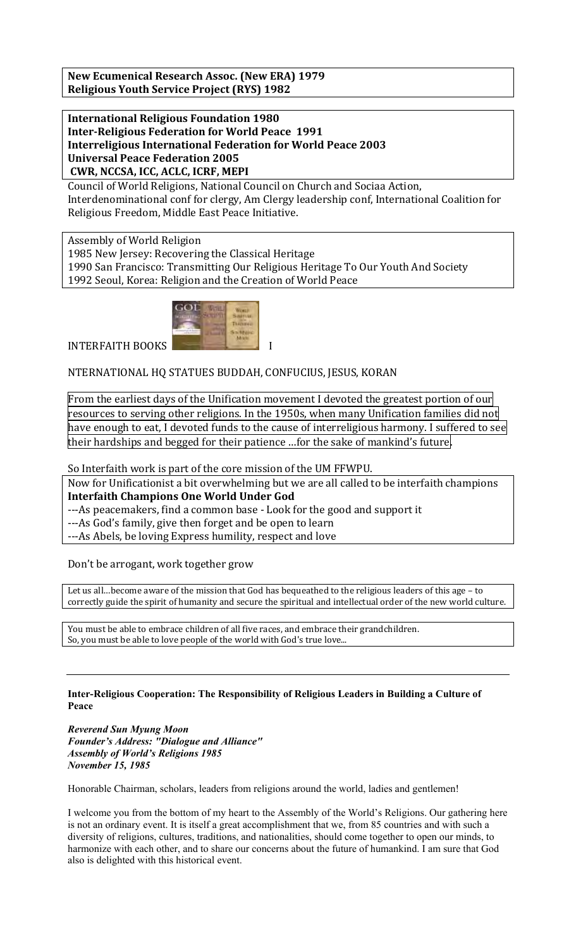**New Ecumenical Research Assoc. (New ERA) 1979 Religious Youth Service Project (RYS) 1982**

**International Religious Foundation 1980 Inter-Religious Federation for World Peace 1991 Interreligious International Federation for World Peace 2003 Universal Peace Federation 2005 CWR, NCCSA, ICC, ACLC, ICRF, MEPI**

Council of World Religions, National Council on Church and Sociaa Action, Interdenominational conf for clergy, Am Clergy leadership conf, International Coalition for Religious Freedom, Middle East Peace Initiative.

Assembly of World Religion 1985 New Jersey: Recovering the Classical Heritage 1990 San Francisco: Transmitting Our Religious Heritage To Our Youth And Society 1992 Seoul, Korea: Religion and the Creation of World Peace



NTERNATIONAL HQ STATUES BUDDAH, CONFUCIUS, JESUS, KORAN

From the earliest days of the Unification movement I devoted the greatest portion of our resources to serving other religions. In the 1950s, when many Unification families did not have enough to eat, I devoted funds to the cause of interreligious harmony. I suffered to see

their hardships and begged for their patience …for the sake of mankind's future.

So Interfaith work is part of the core mission of the UM FFWPU.

Now for Unificationist a bit overwhelming but we are all called to be interfaith champions **Interfaith Champions One World Under God** 

---As peacemakers, find a common base - Look for the good and support it

---As God's family, give then forget and be open to learn

---As Abels, be loving Express humility, respect and love

Don't be arrogant, work together grow

Let us all…become aware of the mission that God has bequeathed to the religious leaders of this age – to correctly guide the spirit of humanity and secure the spiritual and intellectual order of the new world culture.

You must be able to embrace children of all five races, and embrace their grandchildren. So, you must be able to love people of the world with God's true love...

## **Inter-Religious Cooperation: The Responsibility of Religious Leaders in Building a Culture of Peace**

*Reverend Sun Myung Moon Founder's Address: "Dialogue and Alliance" Assembly of World's Religions 1985 November 15, 1985* 

Honorable Chairman, scholars, leaders from religions around the world, ladies and gentlemen!

I welcome you from the bottom of my heart to the Assembly of the World's Religions. Our gathering here is not an ordinary event. It is itself a great accomplishment that we, from 85 countries and with such a diversity of religions, cultures, traditions, and nationalities, should come together to open our minds, to harmonize with each other, and to share our concerns about the future of humankind. I am sure that God also is delighted with this historical event.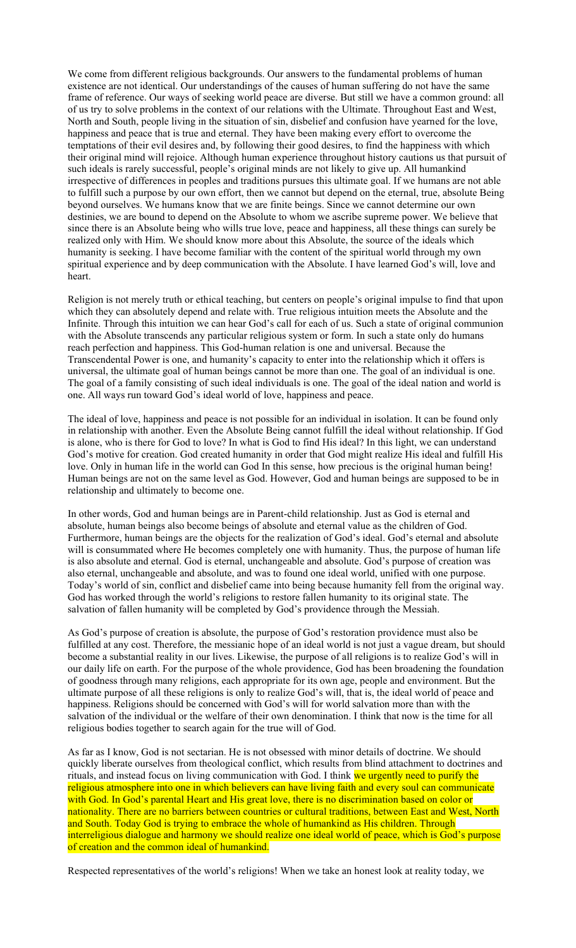We come from different religious backgrounds. Our answers to the fundamental problems of human existence are not identical. Our understandings of the causes of human suffering do not have the same frame of reference. Our ways of seeking world peace are diverse. But still we have a common ground: all of us try to solve problems in the context of our relations with the Ultimate. Throughout East and West, North and South, people living in the situation of sin, disbelief and confusion have yearned for the love, happiness and peace that is true and eternal. They have been making every effort to overcome the temptations of their evil desires and, by following their good desires, to find the happiness with which their original mind will rejoice. Although human experience throughout history cautions us that pursuit of such ideals is rarely successful, people's original minds are not likely to give up. All humankind irrespective of differences in peoples and traditions pursues this ultimate goal. If we humans are not able to fulfill such a purpose by our own effort, then we cannot but depend on the eternal, true, absolute Being beyond ourselves. We humans know that we are finite beings. Since we cannot determine our own destinies, we are bound to depend on the Absolute to whom we ascribe supreme power. We believe that since there is an Absolute being who wills true love, peace and happiness, all these things can surely be realized only with Him. We should know more about this Absolute, the source of the ideals which humanity is seeking. I have become familiar with the content of the spiritual world through my own spiritual experience and by deep communication with the Absolute. I have learned God's will, love and heart.

Religion is not merely truth or ethical teaching, but centers on people's original impulse to find that upon which they can absolutely depend and relate with. True religious intuition meets the Absolute and the Infinite. Through this intuition we can hear God's call for each of us. Such a state of original communion with the Absolute transcends any particular religious system or form. In such a state only do humans reach perfection and happiness. This God-human relation is one and universal. Because the Transcendental Power is one, and humanity's capacity to enter into the relationship which it offers is universal, the ultimate goal of human beings cannot be more than one. The goal of an individual is one. The goal of a family consisting of such ideal individuals is one. The goal of the ideal nation and world is one. All ways run toward God's ideal world of love, happiness and peace.

The ideal of love, happiness and peace is not possible for an individual in isolation. It can be found only in relationship with another. Even the Absolute Being cannot fulfill the ideal without relationship. If God is alone, who is there for God to love? In what is God to find His ideal? In this light, we can understand God's motive for creation. God created humanity in order that God might realize His ideal and fulfill His love. Only in human life in the world can God In this sense, how precious is the original human being! Human beings are not on the same level as God. However, God and human beings are supposed to be in relationship and ultimately to become one.

In other words, God and human beings are in Parent-child relationship. Just as God is eternal and absolute, human beings also become beings of absolute and eternal value as the children of God. Furthermore, human beings are the objects for the realization of God's ideal. God's eternal and absolute will is consummated where He becomes completely one with humanity. Thus, the purpose of human life is also absolute and eternal. God is eternal, unchangeable and absolute. God's purpose of creation was also eternal, unchangeable and absolute, and was to found one ideal world, unified with one purpose. Today's world of sin, conflict and disbelief came into being because humanity fell from the original way. God has worked through the world's religions to restore fallen humanity to its original state. The salvation of fallen humanity will be completed by God's providence through the Messiah.

As God's purpose of creation is absolute, the purpose of God's restoration providence must also be fulfilled at any cost. Therefore, the messianic hope of an ideal world is not just a vague dream, but should become a substantial reality in our lives. Likewise, the purpose of all religions is to realize God's will in our daily life on earth. For the purpose of the whole providence, God has been broadening the foundation of goodness through many religions, each appropriate for its own age, people and environment. But the ultimate purpose of all these religions is only to realize God's will, that is, the ideal world of peace and happiness. Religions should be concerned with God's will for world salvation more than with the salvation of the individual or the welfare of their own denomination. I think that now is the time for all religious bodies together to search again for the true will of God.

As far as I know, God is not sectarian. He is not obsessed with minor details of doctrine. We should quickly liberate ourselves from theological conflict, which results from blind attachment to doctrines and rituals, and instead focus on living communication with God. I think we urgently need to purify the religious atmosphere into one in which believers can have living faith and every soul can communicate with God. In God's parental Heart and His great love, there is no discrimination based on color or nationality. There are no barriers between countries or cultural traditions, between East and West, North and South. Today God is trying to embrace the whole of humankind as His children. Through interreligious dialogue and harmony we should realize one ideal world of peace, which is God's purpose of creation and the common ideal of humankind.

Respected representatives of the world's religions! When we take an honest look at reality today, we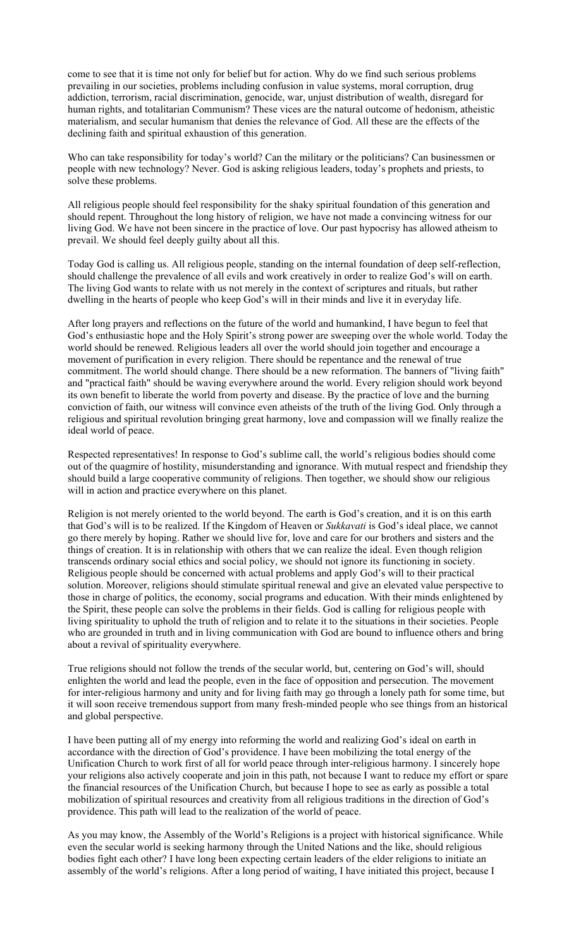come to see that it is time not only for belief but for action. Why do we find such serious problems prevailing in our societies, problems including confusion in value systems, moral corruption, drug addiction, terrorism, racial discrimination, genocide, war, unjust distribution of wealth, disregard for human rights, and totalitarian Communism? These vices are the natural outcome of hedonism, atheistic materialism, and secular humanism that denies the relevance of God. All these are the effects of the declining faith and spiritual exhaustion of this generation.

Who can take responsibility for today's world? Can the military or the politicians? Can businessmen or people with new technology? Never. God is asking religious leaders, today's prophets and priests, to solve these problems.

All religious people should feel responsibility for the shaky spiritual foundation of this generation and should repent. Throughout the long history of religion, we have not made a convincing witness for our living God. We have not been sincere in the practice of love. Our past hypocrisy has allowed atheism to prevail. We should feel deeply guilty about all this.

Today God is calling us. All religious people, standing on the internal foundation of deep self-reflection, should challenge the prevalence of all evils and work creatively in order to realize God's will on earth. The living God wants to relate with us not merely in the context of scriptures and rituals, but rather dwelling in the hearts of people who keep God's will in their minds and live it in everyday life.

After long prayers and reflections on the future of the world and humankind, I have begun to feel that God's enthusiastic hope and the Holy Spirit's strong power are sweeping over the whole world. Today the world should be renewed. Religious leaders all over the world should join together and encourage a movement of purification in every religion. There should be repentance and the renewal of true commitment. The world should change. There should be a new reformation. The banners of "living faith" and "practical faith" should be waving everywhere around the world. Every religion should work beyond its own benefit to liberate the world from poverty and disease. By the practice of love and the burning conviction of faith, our witness will convince even atheists of the truth of the living God. Only through a religious and spiritual revolution bringing great harmony, love and compassion will we finally realize the ideal world of peace.

Respected representatives! In response to God's sublime call, the world's religious bodies should come out of the quagmire of hostility, misunderstanding and ignorance. With mutual respect and friendship they should build a large cooperative community of religions. Then together, we should show our religious will in action and practice everywhere on this planet.

Religion is not merely oriented to the world beyond. The earth is God's creation, and it is on this earth that God's will is to be realized. If the Kingdom of Heaven or *Sukkavati* is God's ideal place, we cannot go there merely by hoping. Rather we should live for, love and care for our brothers and sisters and the things of creation. It is in relationship with others that we can realize the ideal. Even though religion transcends ordinary social ethics and social policy, we should not ignore its functioning in society. Religious people should be concerned with actual problems and apply God's will to their practical solution. Moreover, religions should stimulate spiritual renewal and give an elevated value perspective to those in charge of politics, the economy, social programs and education. With their minds enlightened by the Spirit, these people can solve the problems in their fields. God is calling for religious people with living spirituality to uphold the truth of religion and to relate it to the situations in their societies. People who are grounded in truth and in living communication with God are bound to influence others and bring about a revival of spirituality everywhere.

True religions should not follow the trends of the secular world, but, centering on God's will, should enlighten the world and lead the people, even in the face of opposition and persecution. The movement for inter-religious harmony and unity and for living faith may go through a lonely path for some time, but it will soon receive tremendous support from many fresh-minded people who see things from an historical and global perspective.

I have been putting all of my energy into reforming the world and realizing God's ideal on earth in accordance with the direction of God's providence. I have been mobilizing the total energy of the Unification Church to work first of all for world peace through inter-religious harmony. I sincerely hope your religions also actively cooperate and join in this path, not because I want to reduce my effort or spare the financial resources of the Unification Church, but because I hope to see as early as possible a total mobilization of spiritual resources and creativity from all religious traditions in the direction of God's providence. This path will lead to the realization of the world of peace.

As you may know, the Assembly of the World's Religions is a project with historical significance. While even the secular world is seeking harmony through the United Nations and the like, should religious bodies fight each other? I have long been expecting certain leaders of the elder religions to initiate an assembly of the world's religions. After a long period of waiting, I have initiated this project, because I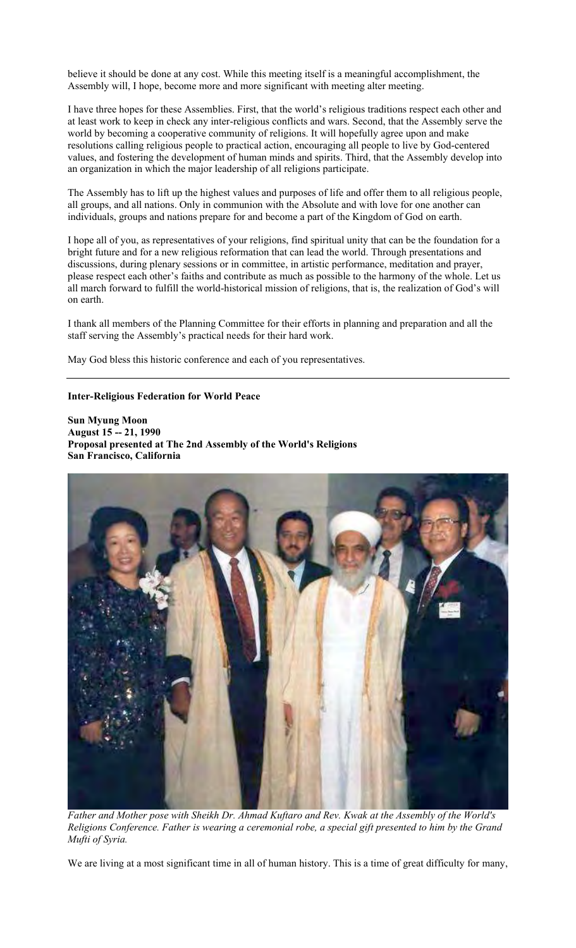believe it should be done at any cost. While this meeting itself is a meaningful accomplishment, the Assembly will, I hope, become more and more significant with meeting alter meeting.

I have three hopes for these Assemblies. First, that the world's religious traditions respect each other and at least work to keep in check any inter-religious conflicts and wars. Second, that the Assembly serve the world by becoming a cooperative community of religions. It will hopefully agree upon and make resolutions calling religious people to practical action, encouraging all people to live by God-centered values, and fostering the development of human minds and spirits. Third, that the Assembly develop into an organization in which the major leadership of all religions participate.

The Assembly has to lift up the highest values and purposes of life and offer them to all religious people, all groups, and all nations. Only in communion with the Absolute and with love for one another can individuals, groups and nations prepare for and become a part of the Kingdom of God on earth.

I hope all of you, as representatives of your religions, find spiritual unity that can be the foundation for a bright future and for a new religious reformation that can lead the world. Through presentations and discussions, during plenary sessions or in committee, in artistic performance, meditation and prayer, please respect each other's faiths and contribute as much as possible to the harmony of the whole. Let us all march forward to fulfill the world-historical mission of religions, that is, the realization of God's will on earth.

I thank all members of the Planning Committee for their efforts in planning and preparation and all the staff serving the Assembly's practical needs for their hard work.

May God bless this historic conference and each of you representatives.

### **Inter-Religious Federation for World Peace**

**Sun Myung Moon August 15 -- 21, 1990 Proposal presented at The 2nd Assembly of the World's Religions San Francisco, California** 



*Father and Mother pose with Sheikh Dr. Ahmad Kuftaro and Rev. Kwak at the Assembly of the World's Religions Conference. Father is wearing a ceremonial robe, a special gift presented to him by the Grand Mufti of Syria.*

We are living at a most significant time in all of human history. This is a time of great difficulty for many,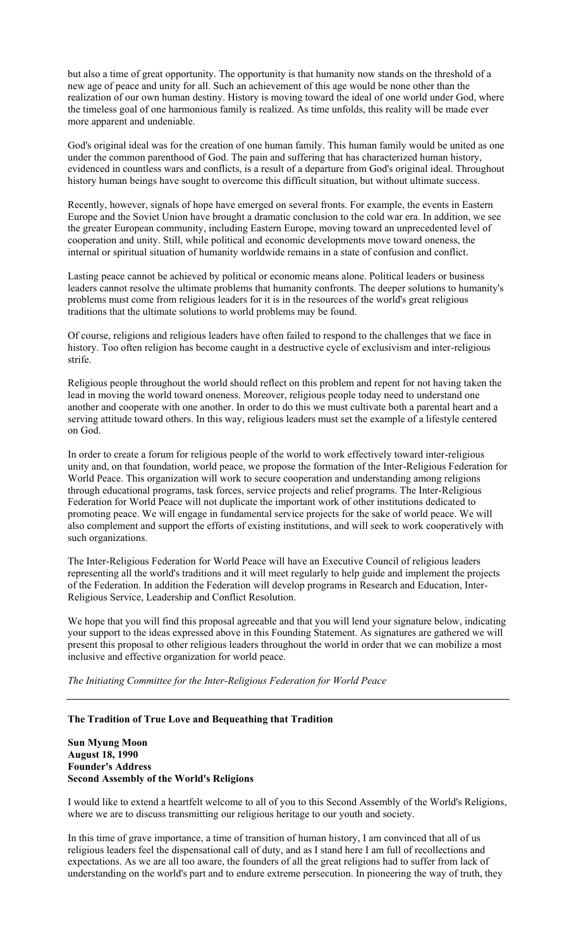but also a time of great opportunity. The opportunity is that humanity now stands on the threshold of a new age of peace and unity for all. Such an achievement of this age would be none other than the realization of our own human destiny. History is moving toward the ideal of one world under God, where the timeless goal of one harmonious family is realized. As time unfolds, this reality will be made ever more apparent and undeniable.

God's original ideal was for the creation of one human family. This human family would be united as one under the common parenthood of God. The pain and suffering that has characterized human history, evidenced in countless wars and conflicts, is a result of a departure from God's original ideal. Throughout history human beings have sought to overcome this difficult situation, but without ultimate success.

Recently, however, signals of hope have emerged on several fronts. For example, the events in Eastern Europe and the Soviet Union have brought a dramatic conclusion to the cold war era. In addition, we see the greater European community, including Eastern Europe, moving toward an unprecedented level of cooperation and unity. Still, while political and economic developments move toward oneness, the internal or spiritual situation of humanity worldwide remains in a state of confusion and conflict.

Lasting peace cannot be achieved by political or economic means alone. Political leaders or business leaders cannot resolve the ultimate problems that humanity confronts. The deeper solutions to humanity's problems must come from religious leaders for it is in the resources of the world's great religious traditions that the ultimate solutions to world problems may be found.

Of course, religions and religious leaders have often failed to respond to the challenges that we face in history. Too often religion has become caught in a destructive cycle of exclusivism and inter-religious strife.

Religious people throughout the world should reflect on this problem and repent for not having taken the lead in moving the world toward oneness. Moreover, religious people today need to understand one another and cooperate with one another. In order to do this we must cultivate both a parental heart and a serving attitude toward others. In this way, religious leaders must set the example of a lifestyle centered on God.

In order to create a forum for religious people of the world to work effectively toward inter-religious unity and, on that foundation, world peace, we propose the formation of the Inter-Religious Federation for World Peace. This organization will work to secure cooperation and understanding among religions through educational programs, task forces, service projects and relief programs. The Inter-Religious Federation for World Peace will not duplicate the important work of other institutions dedicated to promoting peace. We will engage in fundamental service projects for the sake of world peace. We will also complement and support the efforts of existing institutions, and will seek to work cooperatively with such organizations.

The Inter-Religious Federation for World Peace will have an Executive Council of religious leaders representing all the world's traditions and it will meet regularly to help guide and implement the projects of the Federation. In addition the Federation will develop programs in Research and Education, Inter-Religious Service, Leadership and Conflict Resolution.

We hope that you will find this proposal agreeable and that you will lend your signature below, indicating your support to the ideas expressed above in this Founding Statement. As signatures are gathered we will present this proposal to other religious leaders throughout the world in order that we can mobilize a most inclusive and effective organization for world peace.

*The Initiating Committee for the Inter-Religious Federation for World Peace*

#### **The Tradition of True Love and Bequeathing that Tradition**

**Sun Myung Moon August 18, 1990 Founder's Address Second Assembly of the World's Religions** 

I would like to extend a heartfelt welcome to all of you to this Second Assembly of the World's Religions, where we are to discuss transmitting our religious heritage to our youth and society.

In this time of grave importance, a time of transition of human history, I am convinced that all of us religious leaders feel the dispensational call of duty, and as I stand here I am full of recollections and expectations. As we are all too aware, the founders of all the great religions had to suffer from lack of understanding on the world's part and to endure extreme persecution. In pioneering the way of truth, they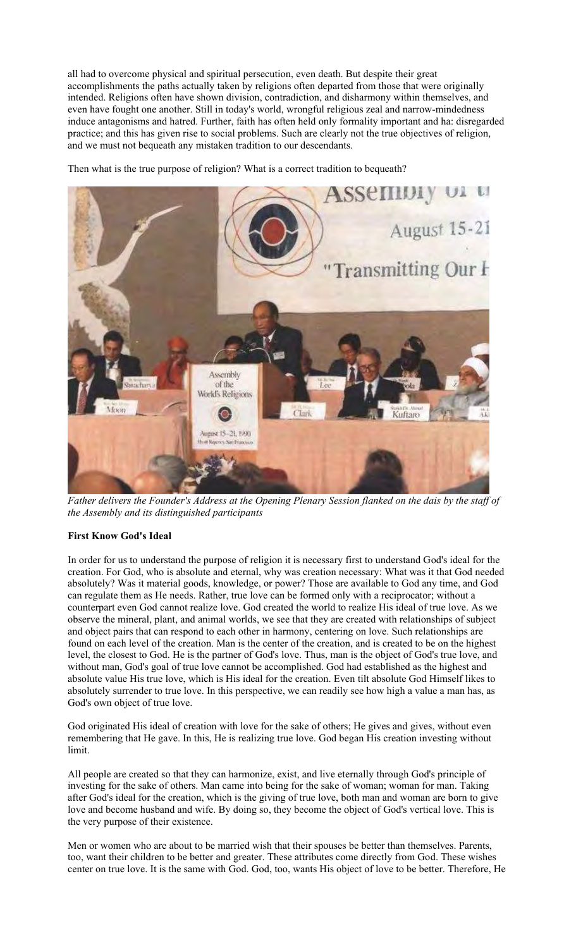all had to overcome physical and spiritual persecution, even death. But despite their great accomplishments the paths actually taken by religions often departed from those that were originally intended. Religions often have shown division, contradiction, and disharmony within themselves, and even have fought one another. Still in today's world, wrongful religious zeal and narrow-mindedness induce antagonisms and hatred. Further, faith has often held only formality important and ha: disregarded practice; and this has given rise to social problems. Such are clearly not the true objectives of religion, and we must not bequeath any mistaken tradition to our descendants.

Then what is the true purpose of religion? What is a correct tradition to bequeath?



*Father delivers the Founder's Address at the Opening Plenary Session flanked on the dais by the staff of the Assembly and its distinguished participants*

# **First Know God's Ideal**

In order for us to understand the purpose of religion it is necessary first to understand God's ideal for the creation. For God, who is absolute and eternal, why was creation necessary: What was it that God needed absolutely? Was it material goods, knowledge, or power? Those are available to God any time, and God can regulate them as He needs. Rather, true love can be formed only with a reciprocator; without a counterpart even God cannot realize love. God created the world to realize His ideal of true love. As we observe the mineral, plant, and animal worlds, we see that they are created with relationships of subject and object pairs that can respond to each other in harmony, centering on love. Such relationships are found on each level of the creation. Man is the center of the creation, and is created to be on the highest level, the closest to God. He is the partner of God's love. Thus, man is the object of God's true love, and without man, God's goal of true love cannot be accomplished. God had established as the highest and absolute value His true love, which is His ideal for the creation. Even tilt absolute God Himself likes to absolutely surrender to true love. In this perspective, we can readily see how high a value a man has, as God's own object of true love.

God originated His ideal of creation with love for the sake of others; He gives and gives, without even remembering that He gave. In this, He is realizing true love. God began His creation investing without limit.

All people are created so that they can harmonize, exist, and live eternally through God's principle of investing for the sake of others. Man came into being for the sake of woman; woman for man. Taking after God's ideal for the creation, which is the giving of true love, both man and woman are born to give love and become husband and wife. By doing so, they become the object of God's vertical love. This is the very purpose of their existence.

Men or women who are about to be married wish that their spouses be better than themselves. Parents, too, want their children to be better and greater. These attributes come directly from God. These wishes center on true love. It is the same with God. God, too, wants His object of love to be better. Therefore, He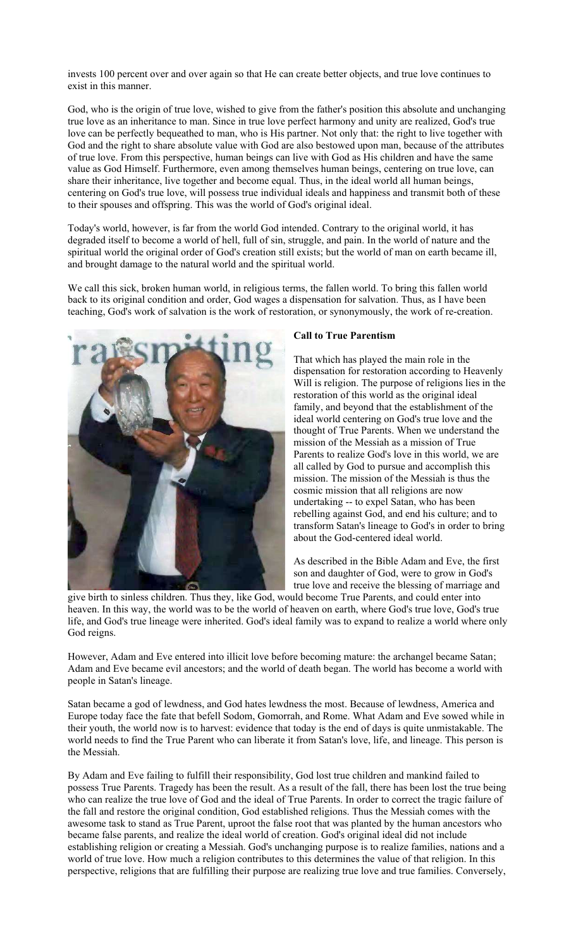invests 100 percent over and over again so that He can create better objects, and true love continues to exist in this manner.

God, who is the origin of true love, wished to give from the father's position this absolute and unchanging true love as an inheritance to man. Since in true love perfect harmony and unity are realized, God's true love can be perfectly bequeathed to man, who is His partner. Not only that: the right to live together with God and the right to share absolute value with God are also bestowed upon man, because of the attributes of true love. From this perspective, human beings can live with God as His children and have the same value as God Himself. Furthermore, even among themselves human beings, centering on true love, can share their inheritance, live together and become equal. Thus, in the ideal world all human beings, centering on God's true love, will possess true individual ideals and happiness and transmit both of these to their spouses and offspring. This was the world of God's original ideal.

Today's world, however, is far from the world God intended. Contrary to the original world, it has degraded itself to become a world of hell, full of sin, struggle, and pain. In the world of nature and the spiritual world the original order of God's creation still exists; but the world of man on earth became ill, and brought damage to the natural world and the spiritual world.

We call this sick, broken human world, in religious terms, the fallen world. To bring this fallen world back to its original condition and order, God wages a dispensation for salvation. Thus, as I have been teaching, God's work of salvation is the work of restoration, or synonymously, the work of re-creation.



### **Call to True Parentism**

That which has played the main role in the dispensation for restoration according to Heavenly Will is religion. The purpose of religions lies in the restoration of this world as the original ideal family, and beyond that the establishment of the ideal world centering on God's true love and the thought of True Parents. When we understand the mission of the Messiah as a mission of True Parents to realize God's love in this world, we are all called by God to pursue and accomplish this mission. The mission of the Messiah is thus the cosmic mission that all religions are now undertaking -- to expel Satan, who has been rebelling against God, and end his culture; and to transform Satan's lineage to God's in order to bring about the God-centered ideal world.

As described in the Bible Adam and Eve, the first son and daughter of God, were to grow in God's true love and receive the blessing of marriage and

give birth to sinless children. Thus they, like God, would become True Parents, and could enter into heaven. In this way, the world was to be the world of heaven on earth, where God's true love, God's true life, and God's true lineage were inherited. God's ideal family was to expand to realize a world where only God reigns.

However, Adam and Eve entered into illicit love before becoming mature: the archangel became Satan; Adam and Eve became evil ancestors; and the world of death began. The world has become a world with people in Satan's lineage.

Satan became a god of lewdness, and God hates lewdness the most. Because of lewdness, America and Europe today face the fate that befell Sodom, Gomorrah, and Rome. What Adam and Eve sowed while in their youth, the world now is to harvest: evidence that today is the end of days is quite unmistakable. The world needs to find the True Parent who can liberate it from Satan's love, life, and lineage. This person is the Messiah.

By Adam and Eve failing to fulfill their responsibility, God lost true children and mankind failed to possess True Parents. Tragedy has been the result. As a result of the fall, there has been lost the true being who can realize the true love of God and the ideal of True Parents. In order to correct the tragic failure of the fall and restore the original condition, God established religions. Thus the Messiah comes with the awesome task to stand as True Parent, uproot the false root that was planted by the human ancestors who became false parents, and realize the ideal world of creation. God's original ideal did not include establishing religion or creating a Messiah. God's unchanging purpose is to realize families, nations and a world of true love. How much a religion contributes to this determines the value of that religion. In this perspective, religions that are fulfilling their purpose are realizing true love and true families. Conversely,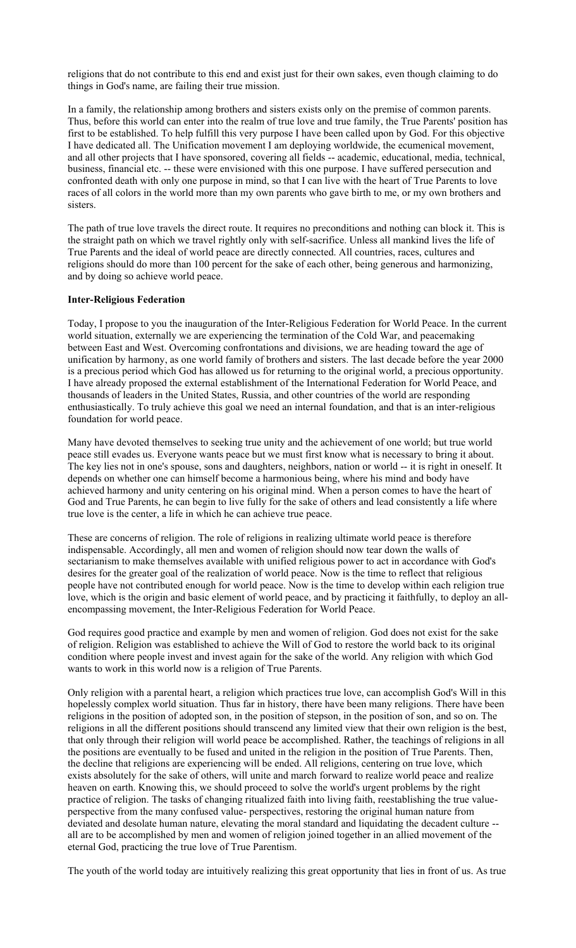religions that do not contribute to this end and exist just for their own sakes, even though claiming to do things in God's name, are failing their true mission.

In a family, the relationship among brothers and sisters exists only on the premise of common parents. Thus, before this world can enter into the realm of true love and true family, the True Parents' position has first to be established. To help fulfill this very purpose I have been called upon by God. For this objective I have dedicated all. The Unification movement I am deploying worldwide, the ecumenical movement, and all other projects that I have sponsored, covering all fields -- academic, educational, media, technical, business, financial etc. -- these were envisioned with this one purpose. I have suffered persecution and confronted death with only one purpose in mind, so that I can live with the heart of True Parents to love races of all colors in the world more than my own parents who gave birth to me, or my own brothers and sisters.

The path of true love travels the direct route. It requires no preconditions and nothing can block it. This is the straight path on which we travel rightly only with self-sacrifice. Unless all mankind lives the life of True Parents and the ideal of world peace are directly connected. All countries, races, cultures and religions should do more than 100 percent for the sake of each other, being generous and harmonizing, and by doing so achieve world peace.

#### **Inter-Religious Federation**

Today, I propose to you the inauguration of the Inter-Religious Federation for World Peace. In the current world situation, externally we are experiencing the termination of the Cold War, and peacemaking between East and West. Overcoming confrontations and divisions, we are heading toward the age of unification by harmony, as one world family of brothers and sisters. The last decade before the year 2000 is a precious period which God has allowed us for returning to the original world, a precious opportunity. I have already proposed the external establishment of the International Federation for World Peace, and thousands of leaders in the United States, Russia, and other countries of the world are responding enthusiastically. To truly achieve this goal we need an internal foundation, and that is an inter-religious foundation for world peace.

Many have devoted themselves to seeking true unity and the achievement of one world; but true world peace still evades us. Everyone wants peace but we must first know what is necessary to bring it about. The key lies not in one's spouse, sons and daughters, neighbors, nation or world -- it is right in oneself. It depends on whether one can himself become a harmonious being, where his mind and body have achieved harmony and unity centering on his original mind. When a person comes to have the heart of God and True Parents, he can begin to live fully for the sake of others and lead consistently a life where true love is the center, a life in which he can achieve true peace.

These are concerns of religion. The role of religions in realizing ultimate world peace is therefore indispensable. Accordingly, all men and women of religion should now tear down the walls of sectarianism to make themselves available with unified religious power to act in accordance with God's desires for the greater goal of the realization of world peace. Now is the time to reflect that religious people have not contributed enough for world peace. Now is the time to develop within each religion true love, which is the origin and basic element of world peace, and by practicing it faithfully, to deploy an allencompassing movement, the Inter-Religious Federation for World Peace.

God requires good practice and example by men and women of religion. God does not exist for the sake of religion. Religion was established to achieve the Will of God to restore the world back to its original condition where people invest and invest again for the sake of the world. Any religion with which God wants to work in this world now is a religion of True Parents.

Only religion with a parental heart, a religion which practices true love, can accomplish God's Will in this hopelessly complex world situation. Thus far in history, there have been many religions. There have been religions in the position of adopted son, in the position of stepson, in the position of son, and so on. The religions in all the different positions should transcend any limited view that their own religion is the best, that only through their religion will world peace be accomplished. Rather, the teachings of religions in all the positions are eventually to be fused and united in the religion in the position of True Parents. Then, the decline that religions are experiencing will be ended. All religions, centering on true love, which exists absolutely for the sake of others, will unite and march forward to realize world peace and realize heaven on earth. Knowing this, we should proceed to solve the world's urgent problems by the right practice of religion. The tasks of changing ritualized faith into living faith, reestablishing the true valueperspective from the many confused value- perspectives, restoring the original human nature from deviated and desolate human nature, elevating the moral standard and liquidating the decadent culture - all are to be accomplished by men and women of religion joined together in an allied movement of the eternal God, practicing the true love of True Parentism.

The youth of the world today are intuitively realizing this great opportunity that lies in front of us. As true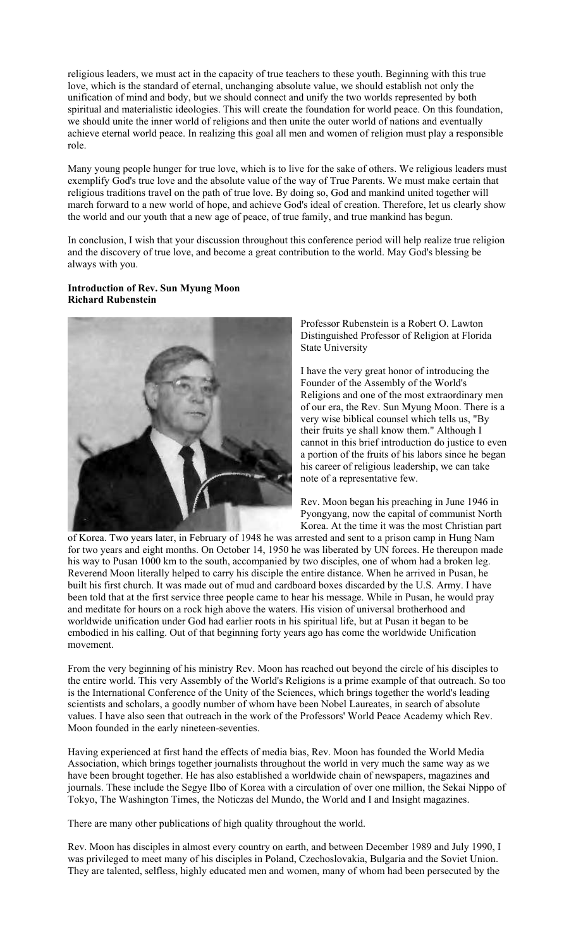religious leaders, we must act in the capacity of true teachers to these youth. Beginning with this true love, which is the standard of eternal, unchanging absolute value, we should establish not only the unification of mind and body, but we should connect and unify the two worlds represented by both spiritual and materialistic ideologies. This will create the foundation for world peace. On this foundation, we should unite the inner world of religions and then unite the outer world of nations and eventually achieve eternal world peace. In realizing this goal all men and women of religion must play a responsible role.

Many young people hunger for true love, which is to live for the sake of others. We religious leaders must exemplify God's true love and the absolute value of the way of True Parents. We must make certain that religious traditions travel on the path of true love. By doing so, God and mankind united together will march forward to a new world of hope, and achieve God's ideal of creation. Therefore, let us clearly show the world and our youth that a new age of peace, of true family, and true mankind has begun.

In conclusion, I wish that your discussion throughout this conference period will help realize true religion and the discovery of true love, and become a great contribution to the world. May God's blessing be always with you.

### **Introduction of Rev. Sun Myung Moon Richard Rubenstein**



Professor Rubenstein is a Robert O. Lawton Distinguished Professor of Religion at Florida State University

I have the very great honor of introducing the Founder of the Assembly of the World's Religions and one of the most extraordinary men of our era, the Rev. Sun Myung Moon. There is a very wise biblical counsel which tells us, "By their fruits ye shall know them." Although I cannot in this brief introduction do justice to even a portion of the fruits of his labors since he began his career of religious leadership, we can take note of a representative few.

Rev. Moon began his preaching in June 1946 in Pyongyang, now the capital of communist North Korea. At the time it was the most Christian part

of Korea. Two years later, in February of 1948 he was arrested and sent to a prison camp in Hung Nam for two years and eight months. On October 14, 1950 he was liberated by UN forces. He thereupon made his way to Pusan 1000 km to the south, accompanied by two disciples, one of whom had a broken leg. Reverend Moon literally helped to carry his disciple the entire distance. When he arrived in Pusan, he built his first church. It was made out of mud and cardboard boxes discarded by the U.S. Army. I have been told that at the first service three people came to hear his message. While in Pusan, he would pray and meditate for hours on a rock high above the waters. His vision of universal brotherhood and worldwide unification under God had earlier roots in his spiritual life, but at Pusan it began to be embodied in his calling. Out of that beginning forty years ago has come the worldwide Unification movement.

From the very beginning of his ministry Rev. Moon has reached out beyond the circle of his disciples to the entire world. This very Assembly of the World's Religions is a prime example of that outreach. So too is the International Conference of the Unity of the Sciences, which brings together the world's leading scientists and scholars, a goodly number of whom have been Nobel Laureates, in search of absolute values. I have also seen that outreach in the work of the Professors' World Peace Academy which Rev. Moon founded in the early nineteen-seventies.

Having experienced at first hand the effects of media bias, Rev. Moon has founded the World Media Association, which brings together journalists throughout the world in very much the same way as we have been brought together. He has also established a worldwide chain of newspapers, magazines and journals. These include the Segye Ilbo of Korea with a circulation of over one million, the Sekai Nippo of Tokyo, The Washington Times, the Noticzas del Mundo, the World and I and Insight magazines.

There are many other publications of high quality throughout the world.

Rev. Moon has disciples in almost every country on earth, and between December 1989 and July 1990, I was privileged to meet many of his disciples in Poland, Czechoslovakia, Bulgaria and the Soviet Union. They are talented, selfless, highly educated men and women, many of whom had been persecuted by the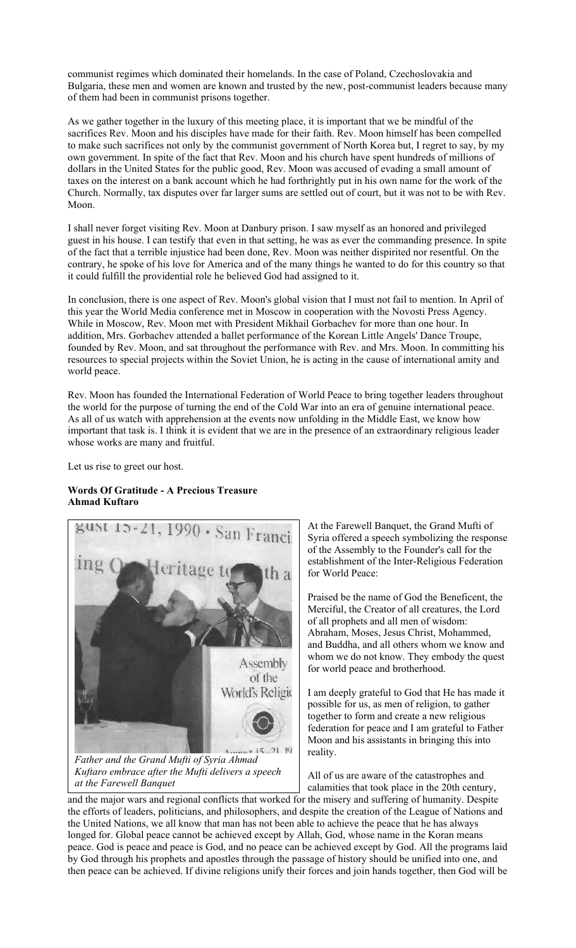communist regimes which dominated their homelands. In the case of Poland, Czechoslovakia and Bulgaria, these men and women are known and trusted by the new, post-communist leaders because many of them had been in communist prisons together.

As we gather together in the luxury of this meeting place, it is important that we be mindful of the sacrifices Rev. Moon and his disciples have made for their faith. Rev. Moon himself has been compelled to make such sacrifices not only by the communist government of North Korea but, I regret to say, by my own government. In spite of the fact that Rev. Moon and his church have spent hundreds of millions of dollars in the United States for the public good, Rev. Moon was accused of evading a small amount of taxes on the interest on a bank account which he had forthrightly put in his own name for the work of the Church. Normally, tax disputes over far larger sums are settled out of court, but it was not to be with Rev. Moon.

I shall never forget visiting Rev. Moon at Danbury prison. I saw myself as an honored and privileged guest in his house. I can testify that even in that setting, he was as ever the commanding presence. In spite of the fact that a terrible injustice had been done, Rev. Moon was neither dispirited nor resentful. On the contrary, he spoke of his love for America and of the many things he wanted to do for this country so that it could fulfill the providential role he believed God had assigned to it.

In conclusion, there is one aspect of Rev. Moon's global vision that I must not fail to mention. In April of this year the World Media conference met in Moscow in cooperation with the Novosti Press Agency. While in Moscow, Rev. Moon met with President Mikhail Gorbachev for more than one hour. In addition, Mrs. Gorbachev attended a ballet performance of the Korean Little Angels' Dance Troupe, founded by Rev. Moon, and sat throughout the performance with Rev. and Mrs. Moon. In committing his resources to special projects within the Soviet Union, he is acting in the cause of international amity and world peace.

Rev. Moon has founded the International Federation of World Peace to bring together leaders throughout the world for the purpose of turning the end of the Cold War into an era of genuine international peace. As all of us watch with apprehension at the events now unfolding in the Middle East, we know how important that task is. I think it is evident that we are in the presence of an extraordinary religious leader whose works are many and fruitful.

Let us rise to greet our host.

# **Words Of Gratitude - A Precious Treasure Ahmad Kuftaro**



*Kuftaro embrace after the Mufti delivers a speech at the Farewell Banquet*

At the Farewell Banquet, the Grand Mufti of Syria offered a speech symbolizing the response of the Assembly to the Founder's call for the establishment of the Inter-Religious Federation for World Peace:

Praised be the name of God the Beneficent, the Merciful, the Creator of all creatures, the Lord of all prophets and all men of wisdom: Abraham, Moses, Jesus Christ, Mohammed, and Buddha, and all others whom we know and whom we do not know. They embody the quest for world peace and brotherhood.

I am deeply grateful to God that He has made it possible for us, as men of religion, to gather together to form and create a new religious federation for peace and I am grateful to Father Moon and his assistants in bringing this into reality.

All of us are aware of the catastrophes and calamities that took place in the 20th century,

and the major wars and regional conflicts that worked for the misery and suffering of humanity. Despite the efforts of leaders, politicians, and philosophers, and despite the creation of the League of Nations and the United Nations, we all know that man has not been able to achieve the peace that he has always longed for. Global peace cannot be achieved except by Allah, God, whose name in the Koran means peace. God is peace and peace is God, and no peace can be achieved except by God. All the programs laid by God through his prophets and apostles through the passage of history should be unified into one, and then peace can be achieved. If divine religions unify their forces and join hands together, then God will be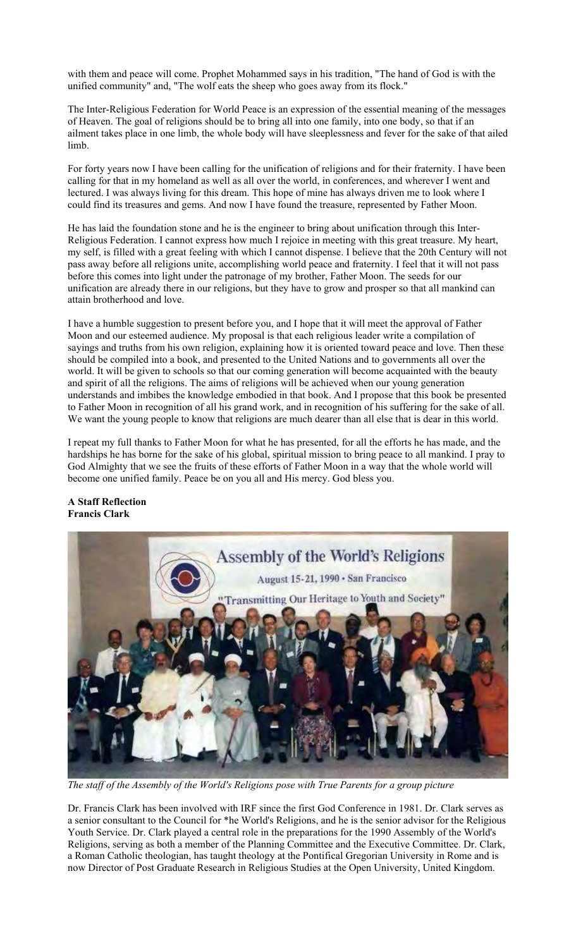with them and peace will come. Prophet Mohammed says in his tradition, "The hand of God is with the unified community" and, "The wolf eats the sheep who goes away from its flock."

The Inter-Religious Federation for World Peace is an expression of the essential meaning of the messages of Heaven. The goal of religions should be to bring all into one family, into one body, so that if an ailment takes place in one limb, the whole body will have sleeplessness and fever for the sake of that ailed limb.

For forty years now I have been calling for the unification of religions and for their fraternity. I have been calling for that in my homeland as well as all over the world, in conferences, and wherever I went and lectured. I was always living for this dream. This hope of mine has always driven me to look where I could find its treasures and gems. And now I have found the treasure, represented by Father Moon.

He has laid the foundation stone and he is the engineer to bring about unification through this Inter-Religious Federation. I cannot express how much I rejoice in meeting with this great treasure. My heart, my self, is filled with a great feeling with which I cannot dispense. I believe that the 20th Century will not pass away before all religions unite, accomplishing world peace and fraternity. I feel that it will not pass before this comes into light under the patronage of my brother, Father Moon. The seeds for our unification are already there in our religions, but they have to grow and prosper so that all mankind can attain brotherhood and love.

I have a humble suggestion to present before you, and I hope that it will meet the approval of Father Moon and our esteemed audience. My proposal is that each religious leader write a compilation of sayings and truths from his own religion, explaining how it is oriented toward peace and love. Then these should be compiled into a book, and presented to the United Nations and to governments all over the world. It will be given to schools so that our coming generation will become acquainted with the beauty and spirit of all the religions. The aims of religions will be achieved when our young generation understands and imbibes the knowledge embodied in that book. And I propose that this book be presented to Father Moon in recognition of all his grand work, and in recognition of his suffering for the sake of all. We want the young people to know that religions are much dearer than all else that is dear in this world.

I repeat my full thanks to Father Moon for what he has presented, for all the efforts he has made, and the hardships he has borne for the sake of his global, spiritual mission to bring peace to all mankind. I pray to God Almighty that we see the fruits of these efforts of Father Moon in a way that the whole world will become one unified family. Peace be on you all and His mercy. God bless you.

### **A Staff Reflection Francis Clark**



*The staff of the Assembly of the World's Religions pose with True Parents for a group picture*

Dr. Francis Clark has been involved with IRF since the first God Conference in 1981. Dr. Clark serves as a senior consultant to the Council for \*he World's Religions, and he is the senior advisor for the Religious Youth Service. Dr. Clark played a central role in the preparations for the 1990 Assembly of the World's Religions, serving as both a member of the Planning Committee and the Executive Committee. Dr. Clark, a Roman Catholic theologian, has taught theology at the Pontifical Gregorian University in Rome and is now Director of Post Graduate Research in Religious Studies at the Open University, United Kingdom.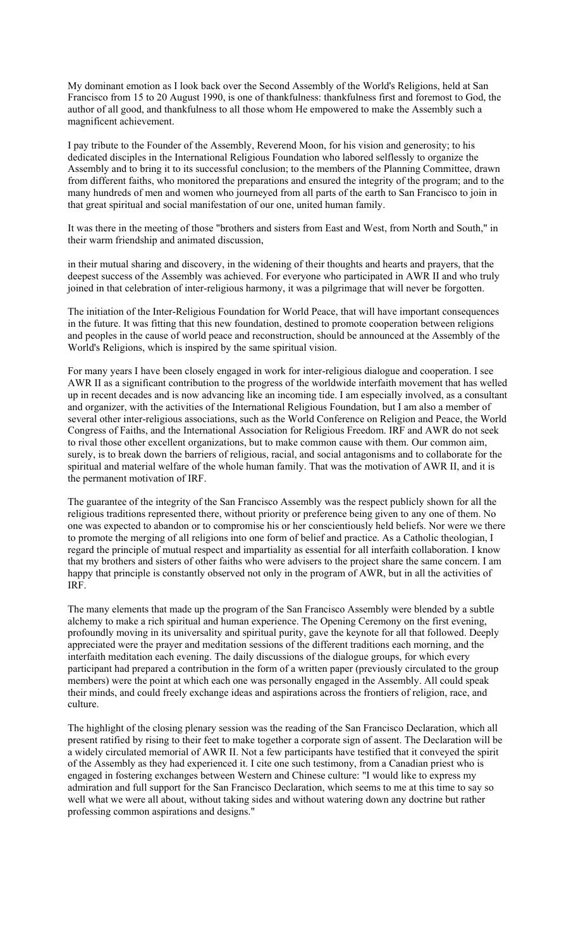My dominant emotion as I look back over the Second Assembly of the World's Religions, held at San Francisco from 15 to 20 August 1990, is one of thankfulness: thankfulness first and foremost to God, the author of all good, and thankfulness to all those whom He empowered to make the Assembly such a magnificent achievement.

I pay tribute to the Founder of the Assembly, Reverend Moon, for his vision and generosity; to his dedicated disciples in the International Religious Foundation who labored selflessly to organize the Assembly and to bring it to its successful conclusion; to the members of the Planning Committee, drawn from different faiths, who monitored the preparations and ensured the integrity of the program; and to the many hundreds of men and women who journeyed from all parts of the earth to San Francisco to join in that great spiritual and social manifestation of our one, united human family.

It was there in the meeting of those "brothers and sisters from East and West, from North and South," in their warm friendship and animated discussion,

in their mutual sharing and discovery, in the widening of their thoughts and hearts and prayers, that the deepest success of the Assembly was achieved. For everyone who participated in AWR II and who truly joined in that celebration of inter-religious harmony, it was a pilgrimage that will never be forgotten.

The initiation of the Inter-Religious Foundation for World Peace, that will have important consequences in the future. It was fitting that this new foundation, destined to promote cooperation between religions and peoples in the cause of world peace and reconstruction, should be announced at the Assembly of the World's Religions, which is inspired by the same spiritual vision.

For many years I have been closely engaged in work for inter-religious dialogue and cooperation. I see AWR II as a significant contribution to the progress of the worldwide interfaith movement that has welled up in recent decades and is now advancing like an incoming tide. I am especially involved, as a consultant and organizer, with the activities of the International Religious Foundation, but I am also a member of several other inter-religious associations, such as the World Conference on Religion and Peace, the World Congress of Faiths, and the International Association for Religious Freedom. IRF and AWR do not seek to rival those other excellent organizations, but to make common cause with them. Our common aim, surely, is to break down the barriers of religious, racial, and social antagonisms and to collaborate for the spiritual and material welfare of the whole human family. That was the motivation of AWR II, and it is the permanent motivation of IRF.

The guarantee of the integrity of the San Francisco Assembly was the respect publicly shown for all the religious traditions represented there, without priority or preference being given to any one of them. No one was expected to abandon or to compromise his or her conscientiously held beliefs. Nor were we there to promote the merging of all religions into one form of belief and practice. As a Catholic theologian, I regard the principle of mutual respect and impartiality as essential for all interfaith collaboration. I know that my brothers and sisters of other faiths who were advisers to the project share the same concern. I am happy that principle is constantly observed not only in the program of AWR, but in all the activities of IRF.

The many elements that made up the program of the San Francisco Assembly were blended by a subtle alchemy to make a rich spiritual and human experience. The Opening Ceremony on the first evening, profoundly moving in its universality and spiritual purity, gave the keynote for all that followed. Deeply appreciated were the prayer and meditation sessions of the different traditions each morning, and the interfaith meditation each evening. The daily discussions of the dialogue groups, for which every participant had prepared a contribution in the form of a written paper (previously circulated to the group members) were the point at which each one was personally engaged in the Assembly. All could speak their minds, and could freely exchange ideas and aspirations across the frontiers of religion, race, and culture.

The highlight of the closing plenary session was the reading of the San Francisco Declaration, which all present ratified by rising to their feet to make together a corporate sign of assent. The Declaration will be a widely circulated memorial of AWR II. Not a few participants have testified that it conveyed the spirit of the Assembly as they had experienced it. I cite one such testimony, from a Canadian priest who is engaged in fostering exchanges between Western and Chinese culture: "I would like to express my admiration and full support for the San Francisco Declaration, which seems to me at this time to say so well what we were all about, without taking sides and without watering down any doctrine but rather professing common aspirations and designs."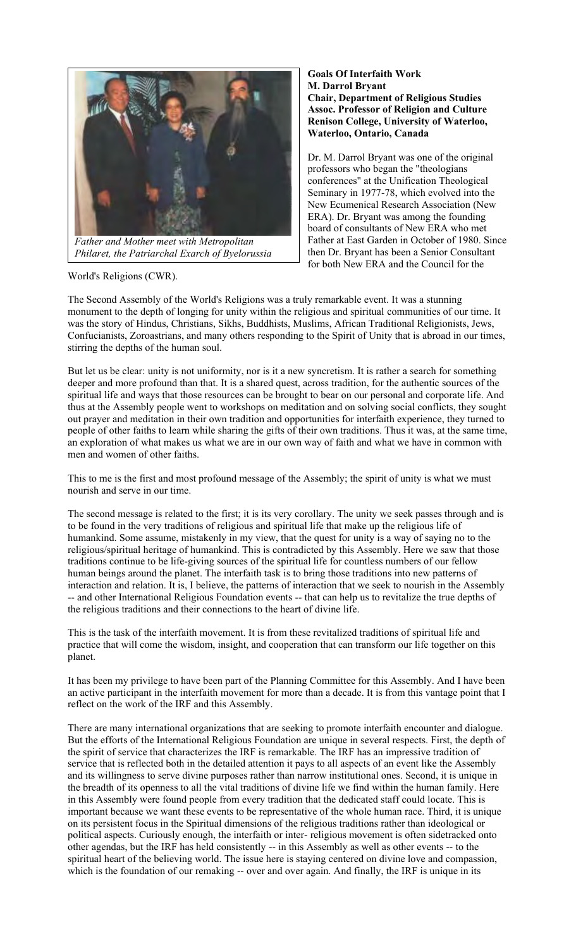

*Philaret, the Patriarchal Exarch of Byelorussia*

World's Religions (CWR).

#### **Goals Of Interfaith Work M. Darrol Bryant Chair, Department of Religious Studies Assoc. Professor of Religion and Culture Renison College, University of Waterloo, Waterloo, Ontario, Canada**

Dr. M. Darrol Bryant was one of the original professors who began the "theologians conferences" at the Unification Theological Seminary in 1977-78, which evolved into the New Ecumenical Research Association (New ERA). Dr. Bryant was among the founding board of consultants of New ERA who met Father at East Garden in October of 1980. Since then Dr. Bryant has been a Senior Consultant for both New ERA and the Council for the

The Second Assembly of the World's Religions was a truly remarkable event. It was a stunning monument to the depth of longing for unity within the religious and spiritual communities of our time. It was the story of Hindus, Christians, Sikhs, Buddhists, Muslims, African Traditional Religionists, Jews, Confucianists, Zoroastrians, and many others responding to the Spirit of Unity that is abroad in our times, stirring the depths of the human soul.

But let us be clear: unity is not uniformity, nor is it a new syncretism. It is rather a search for something deeper and more profound than that. It is a shared quest, across tradition, for the authentic sources of the spiritual life and ways that those resources can be brought to bear on our personal and corporate life. And thus at the Assembly people went to workshops on meditation and on solving social conflicts, they sought out prayer and meditation in their own tradition and opportunities for interfaith experience, they turned to people of other faiths to learn while sharing the gifts of their own traditions. Thus it was, at the same time, an exploration of what makes us what we are in our own way of faith and what we have in common with men and women of other faiths.

This to me is the first and most profound message of the Assembly; the spirit of unity is what we must nourish and serve in our time.

The second message is related to the first; it is its very corollary. The unity we seek passes through and is to be found in the very traditions of religious and spiritual life that make up the religious life of humankind. Some assume, mistakenly in my view, that the quest for unity is a way of saying no to the religious/spiritual heritage of humankind. This is contradicted by this Assembly. Here we saw that those traditions continue to be life-giving sources of the spiritual life for countless numbers of our fellow human beings around the planet. The interfaith task is to bring those traditions into new patterns of interaction and relation. It is, I believe, the patterns of interaction that we seek to nourish in the Assembly -- and other International Religious Foundation events -- that can help us to revitalize the true depths of the religious traditions and their connections to the heart of divine life.

This is the task of the interfaith movement. It is from these revitalized traditions of spiritual life and practice that will come the wisdom, insight, and cooperation that can transform our life together on this planet.

It has been my privilege to have been part of the Planning Committee for this Assembly. And I have been an active participant in the interfaith movement for more than a decade. It is from this vantage point that I reflect on the work of the IRF and this Assembly.

There are many international organizations that are seeking to promote interfaith encounter and dialogue. But the efforts of the International Religious Foundation are unique in several respects. First, the depth of the spirit of service that characterizes the IRF is remarkable. The IRF has an impressive tradition of service that is reflected both in the detailed attention it pays to all aspects of an event like the Assembly and its willingness to serve divine purposes rather than narrow institutional ones. Second, it is unique in the breadth of its openness to all the vital traditions of divine life we find within the human family. Here in this Assembly were found people from every tradition that the dedicated staff could locate. This is important because we want these events to be representative of the whole human race. Third, it is unique on its persistent focus in the Spiritual dimensions of the religious traditions rather than ideological or political aspects. Curiously enough, the interfaith or inter- religious movement is often sidetracked onto other agendas, but the IRF has held consistently -- in this Assembly as well as other events -- to the spiritual heart of the believing world. The issue here is staying centered on divine love and compassion, which is the foundation of our remaking -- over and over again. And finally, the IRF is unique in its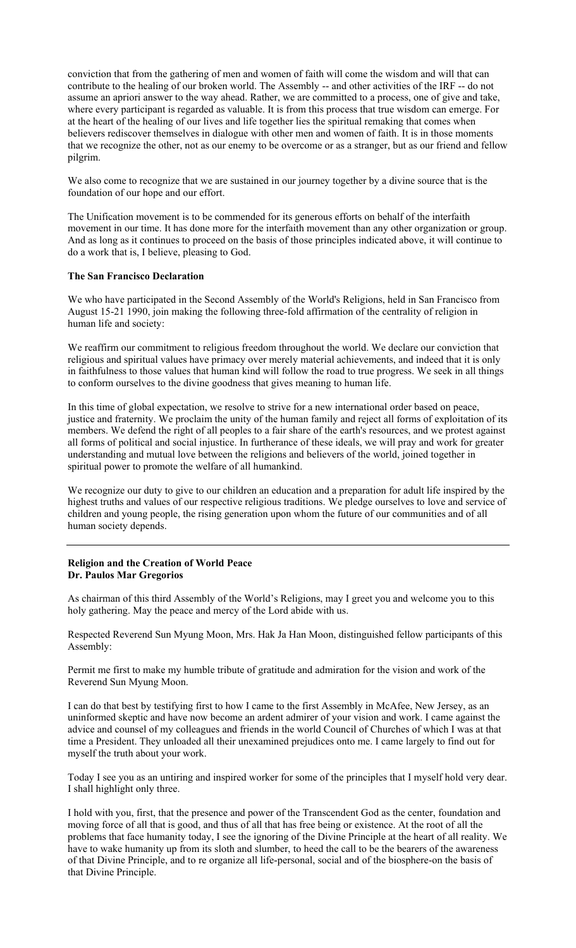conviction that from the gathering of men and women of faith will come the wisdom and will that can contribute to the healing of our broken world. The Assembly -- and other activities of the IRF -- do not assume an apriori answer to the way ahead. Rather, we are committed to a process, one of give and take, where every participant is regarded as valuable. It is from this process that true wisdom can emerge. For at the heart of the healing of our lives and life together lies the spiritual remaking that comes when believers rediscover themselves in dialogue with other men and women of faith. It is in those moments that we recognize the other, not as our enemy to be overcome or as a stranger, but as our friend and fellow pilgrim.

We also come to recognize that we are sustained in our journey together by a divine source that is the foundation of our hope and our effort.

The Unification movement is to be commended for its generous efforts on behalf of the interfaith movement in our time. It has done more for the interfaith movement than any other organization or group. And as long as it continues to proceed on the basis of those principles indicated above, it will continue to do a work that is, I believe, pleasing to God.

### **The San Francisco Declaration**

We who have participated in the Second Assembly of the World's Religions, held in San Francisco from August 15-21 1990, join making the following three-fold affirmation of the centrality of religion in human life and society:

We reaffirm our commitment to religious freedom throughout the world. We declare our conviction that religious and spiritual values have primacy over merely material achievements, and indeed that it is only in faithfulness to those values that human kind will follow the road to true progress. We seek in all things to conform ourselves to the divine goodness that gives meaning to human life.

In this time of global expectation, we resolve to strive for a new international order based on peace, justice and fraternity. We proclaim the unity of the human family and reject all forms of exploitation of its members. We defend the right of all peoples to a fair share of the earth's resources, and we protest against all forms of political and social injustice. In furtherance of these ideals, we will pray and work for greater understanding and mutual love between the religions and believers of the world, joined together in spiritual power to promote the welfare of all humankind.

We recognize our duty to give to our children an education and a preparation for adult life inspired by the highest truths and values of our respective religious traditions. We pledge ourselves to love and service of children and young people, the rising generation upon whom the future of our communities and of all human society depends.

### **Religion and the Creation of World Peace Dr. Paulos Mar Gregorios**

As chairman of this third Assembly of the World's Religions, may I greet you and welcome you to this holy gathering. May the peace and mercy of the Lord abide with us.

Respected Reverend Sun Myung Moon, Mrs. Hak Ja Han Moon, distinguished fellow participants of this Assembly:

Permit me first to make my humble tribute of gratitude and admiration for the vision and work of the Reverend Sun Myung Moon.

I can do that best by testifying first to how I came to the first Assembly in McAfee, New Jersey, as an uninformed skeptic and have now become an ardent admirer of your vision and work. I came against the advice and counsel of my colleagues and friends in the world Council of Churches of which I was at that time a President. They unloaded all their unexamined prejudices onto me. I came largely to find out for myself the truth about your work.

Today I see you as an untiring and inspired worker for some of the principles that I myself hold very dear. I shall highlight only three.

I hold with you, first, that the presence and power of the Transcendent God as the center, foundation and moving force of all that is good, and thus of all that has free being or existence. At the root of all the problems that face humanity today, I see the ignoring of the Divine Principle at the heart of all reality. We have to wake humanity up from its sloth and slumber, to heed the call to be the bearers of the awareness of that Divine Principle, and to re organize all life-personal, social and of the biosphere-on the basis of that Divine Principle.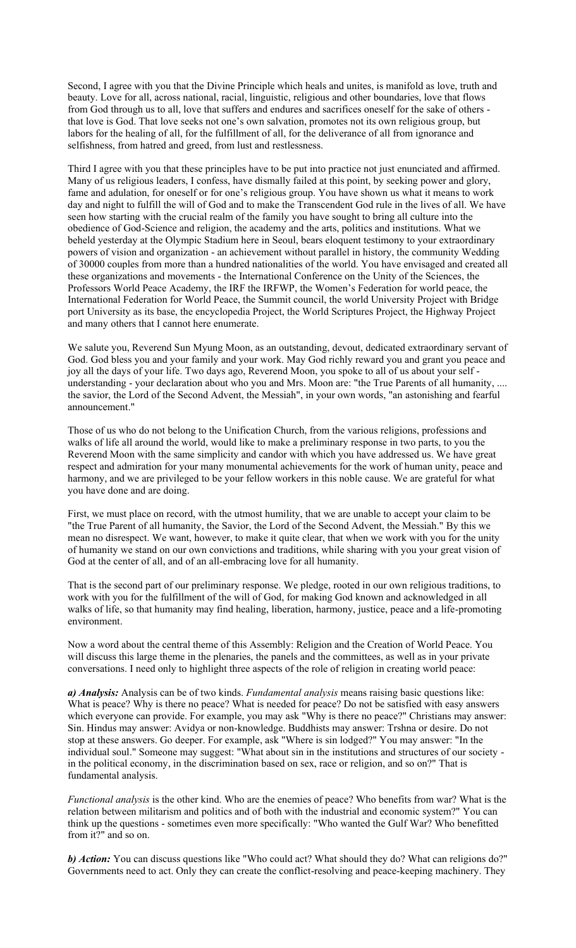Second, I agree with you that the Divine Principle which heals and unites, is manifold as love, truth and beauty. Love for all, across national, racial, linguistic, religious and other boundaries, love that flows from God through us to all, love that suffers and endures and sacrifices oneself for the sake of others that love is God. That love seeks not one's own salvation, promotes not its own religious group, but labors for the healing of all, for the fulfillment of all, for the deliverance of all from ignorance and selfishness, from hatred and greed, from lust and restlessness.

Third I agree with you that these principles have to be put into practice not just enunciated and affirmed. Many of us religious leaders, I confess, have dismally failed at this point, by seeking power and glory, fame and adulation, for oneself or for one's religious group. You have shown us what it means to work day and night to fulfill the will of God and to make the Transcendent God rule in the lives of all. We have seen how starting with the crucial realm of the family you have sought to bring all culture into the obedience of God-Science and religion, the academy and the arts, politics and institutions. What we beheld yesterday at the Olympic Stadium here in Seoul, bears eloquent testimony to your extraordinary powers of vision and organization - an achievement without parallel in history, the community Wedding of 30000 couples from more than a hundred nationalities of the world. You have envisaged and created all these organizations and movements - the International Conference on the Unity of the Sciences, the Professors World Peace Academy, the IRF the IRFWP, the Women's Federation for world peace, the International Federation for World Peace, the Summit council, the world University Project with Bridge port University as its base, the encyclopedia Project, the World Scriptures Project, the Highway Project and many others that I cannot here enumerate.

We salute you, Reverend Sun Myung Moon, as an outstanding, devout, dedicated extraordinary servant of God. God bless you and your family and your work. May God richly reward you and grant you peace and joy all the days of your life. Two days ago, Reverend Moon, you spoke to all of us about your self understanding - your declaration about who you and Mrs. Moon are: "the True Parents of all humanity, .... the savior, the Lord of the Second Advent, the Messiah", in your own words, "an astonishing and fearful announcement."

Those of us who do not belong to the Unification Church, from the various religions, professions and walks of life all around the world, would like to make a preliminary response in two parts, to you the Reverend Moon with the same simplicity and candor with which you have addressed us. We have great respect and admiration for your many monumental achievements for the work of human unity, peace and harmony, and we are privileged to be your fellow workers in this noble cause. We are grateful for what you have done and are doing.

First, we must place on record, with the utmost humility, that we are unable to accept your claim to be "the True Parent of all humanity, the Savior, the Lord of the Second Advent, the Messiah." By this we mean no disrespect. We want, however, to make it quite clear, that when we work with you for the unity of humanity we stand on our own convictions and traditions, while sharing with you your great vision of God at the center of all, and of an all-embracing love for all humanity.

That is the second part of our preliminary response. We pledge, rooted in our own religious traditions, to work with you for the fulfillment of the will of God, for making God known and acknowledged in all walks of life, so that humanity may find healing, liberation, harmony, justice, peace and a life-promoting environment.

Now a word about the central theme of this Assembly: Religion and the Creation of World Peace. You will discuss this large theme in the plenaries, the panels and the committees, as well as in your private conversations. I need only to highlight three aspects of the role of religion in creating world peace:

*a) Analysis:* Analysis can be of two kinds. *Fundamental analysis* means raising basic questions like: What is peace? Why is there no peace? What is needed for peace? Do not be satisfied with easy answers which everyone can provide. For example, you may ask "Why is there no peace?" Christians may answer: Sin. Hindus may answer: Avidya or non-knowledge. Buddhists may answer: Trshna or desire. Do not stop at these answers. Go deeper. For example, ask "Where is sin lodged?" You may answer: "In the individual soul." Someone may suggest: "What about sin in the institutions and structures of our society in the political economy, in the discrimination based on sex, race or religion, and so on?" That is fundamental analysis.

*Functional analysis* is the other kind. Who are the enemies of peace? Who benefits from war? What is the relation between militarism and politics and of both with the industrial and economic system?" You can think up the questions - sometimes even more specifically: "Who wanted the Gulf War? Who benefitted from it?" and so on.

*b) Action:* You can discuss questions like "Who could act? What should they do? What can religions do?" Governments need to act. Only they can create the conflict-resolving and peace-keeping machinery. They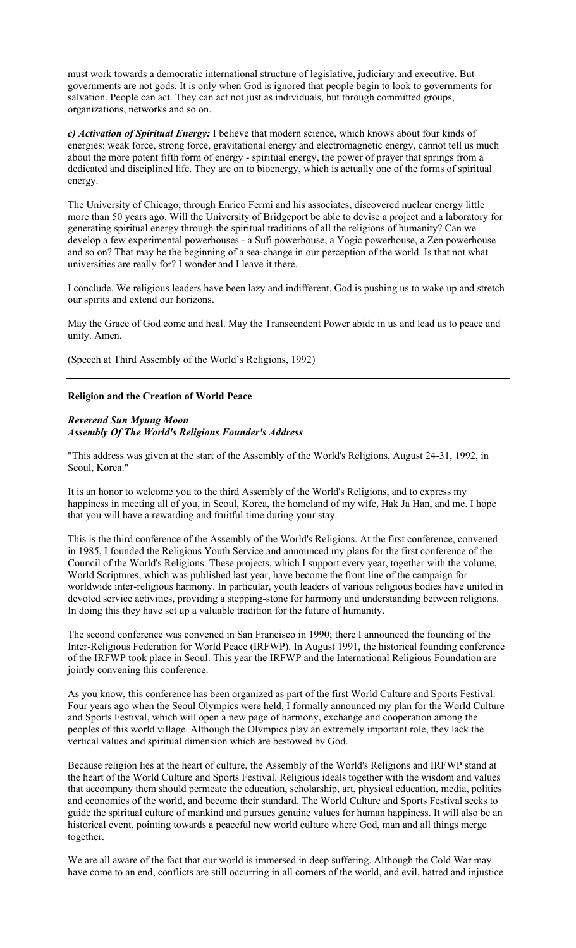must work towards a democratic international structure of legislative, judiciary and executive. But governments are not gods. It is only when God is ignored that people begin to look to governments for salvation. People can act. They can act not just as individuals, but through committed groups, organizations, networks and so on.

*c) Activation of Spiritual Energy:* I believe that modern science, which knows about four kinds of energies: weak force, strong force, gravitational energy and electromagnetic energy, cannot tell us much about the more potent fifth form of energy - spiritual energy, the power of prayer that springs from a dedicated and disciplined life. They are on to bioenergy, which is actually one of the forms of spiritual energy.

The University of Chicago, through Enrico Fermi and his associates, discovered nuclear energy little more than 50 years ago. Will the University of Bridgeport be able to devise a project and a laboratory for generating spiritual energy through the spiritual traditions of all the religions of humanity? Can we develop a few experimental powerhouses - a Sufi powerhouse, a Yogic powerhouse, a Zen powerhouse and so on? That may be the beginning of a sea-change in our perception of the world. Is that not what universities are really for? I wonder and I leave it there.

I conclude. We religious leaders have been lazy and indifferent. God is pushing us to wake up and stretch our spirits and extend our horizons.

May the Grace of God come and heal. May the Transcendent Power abide in us and lead us to peace and unity. Amen.

(Speech at Third Assembly of the World's Religions, 1992)

#### **Religion and the Creation of World Peace**

#### *Reverend Sun Myung Moon Assembly Of The World's Religions Founder's Address*

"This address was given at the start of the Assembly of the World's Religions, August 24-31, 1992, in Seoul, Korea."

It is an honor to welcome you to the third Assembly of the World's Religions, and to express my happiness in meeting all of you, in Seoul, Korea, the homeland of my wife, Hak Ja Han, and me. I hope that you will have a rewarding and fruitful time during your stay.

This is the third conference of the Assembly of the World's Religions. At the first conference, convened in 1985, I founded the Religious Youth Service and announced my plans for the first conference of the Council of the World's Religions. These projects, which I support every year, together with the volume, World Scriptures, which was published last year, have become the front line of the campaign for worldwide inter-religious harmony. In particular, youth leaders of various religious bodies have united in devoted service activities, providing a stepping-stone for harmony and understanding between religions. In doing this they have set up a valuable tradition for the future of humanity.

The second conference was convened in San Francisco in 1990; there I announced the founding of the Inter-Religious Federation for World Peace (IRFWP). In August 1991, the historical founding conference of the IRFWP took place in Seoul. This year the IRFWP and the International Religious Foundation are jointly convening this conference.

As you know, this conference has been organized as part of the first World Culture and Sports Festival. Four years ago when the Seoul Olympics were held, I formally announced my plan for the World Culture and Sports Festival, which will open a new page of harmony, exchange and cooperation among the peoples of this world village. Although the Olympics play an extremely important role, they lack the vertical values and spiritual dimension which are bestowed by God.

Because religion lies at the heart of culture, the Assembly of the World's Religions and IRFWP stand at the heart of the World Culture and Sports Festival. Religious ideals together with the wisdom and values that accompany them should permeate the education, scholarship, art, physical education, media, politics and economics of the world, and become their standard. The World Culture and Sports Festival seeks to guide the spiritual culture of mankind and pursues genuine values for human happiness. It will also be an historical event, pointing towards a peaceful new world culture where God, man and all things merge together.

We are all aware of the fact that our world is immersed in deep suffering. Although the Cold War may have come to an end, conflicts are still occurring in all corners of the world, and evil, hatred and injustice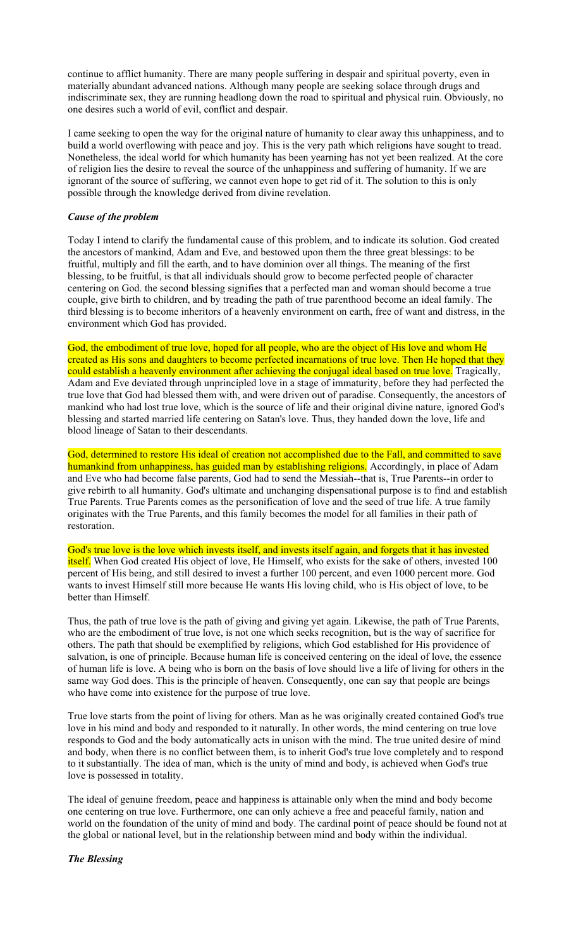continue to afflict humanity. There are many people suffering in despair and spiritual poverty, even in materially abundant advanced nations. Although many people are seeking solace through drugs and indiscriminate sex, they are running headlong down the road to spiritual and physical ruin. Obviously, no one desires such a world of evil, conflict and despair.

I came seeking to open the way for the original nature of humanity to clear away this unhappiness, and to build a world overflowing with peace and joy. This is the very path which religions have sought to tread. Nonetheless, the ideal world for which humanity has been yearning has not yet been realized. At the core of religion lies the desire to reveal the source of the unhappiness and suffering of humanity. If we are ignorant of the source of suffering, we cannot even hope to get rid of it. The solution to this is only possible through the knowledge derived from divine revelation.

#### *Cause of the problem*

Today I intend to clarify the fundamental cause of this problem, and to indicate its solution. God created the ancestors of mankind, Adam and Eve, and bestowed upon them the three great blessings: to be fruitful, multiply and fill the earth, and to have dominion over all things. The meaning of the first blessing, to be fruitful, is that all individuals should grow to become perfected people of character centering on God. the second blessing signifies that a perfected man and woman should become a true couple, give birth to children, and by treading the path of true parenthood become an ideal family. The third blessing is to become inheritors of a heavenly environment on earth, free of want and distress, in the environment which God has provided.

God, the embodiment of true love, hoped for all people, who are the object of His love and whom He created as His sons and daughters to become perfected incarnations of true love. Then He hoped that they could establish a heavenly environment after achieving the conjugal ideal based on true love. Tragically, Adam and Eve deviated through unprincipled love in a stage of immaturity, before they had perfected the true love that God had blessed them with, and were driven out of paradise. Consequently, the ancestors of mankind who had lost true love, which is the source of life and their original divine nature, ignored God's blessing and started married life centering on Satan's love. Thus, they handed down the love, life and blood lineage of Satan to their descendants.

God, determined to restore His ideal of creation not accomplished due to the Fall, and committed to save humankind from unhappiness, has guided man by establishing religions. Accordingly, in place of Adam and Eve who had become false parents, God had to send the Messiah--that is, True Parents--in order to give rebirth to all humanity. God's ultimate and unchanging dispensational purpose is to find and establish True Parents. True Parents comes as the personification of love and the seed of true life. A true family originates with the True Parents, and this family becomes the model for all families in their path of restoration.

God's true love is the love which invests itself, and invests itself again, and forgets that it has invested itself. When God created His object of love, He Himself, who exists for the sake of others, invested 100 percent of His being, and still desired to invest a further 100 percent, and even 1000 percent more. God wants to invest Himself still more because He wants His loving child, who is His object of love, to be better than Himself.

Thus, the path of true love is the path of giving and giving yet again. Likewise, the path of True Parents, who are the embodiment of true love, is not one which seeks recognition, but is the way of sacrifice for others. The path that should be exemplified by religions, which God established for His providence of salvation, is one of principle. Because human life is conceived centering on the ideal of love, the essence of human life is love. A being who is born on the basis of love should live a life of living for others in the same way God does. This is the principle of heaven. Consequently, one can say that people are beings who have come into existence for the purpose of true love.

True love starts from the point of living for others. Man as he was originally created contained God's true love in his mind and body and responded to it naturally. In other words, the mind centering on true love responds to God and the body automatically acts in unison with the mind. The true united desire of mind and body, when there is no conflict between them, is to inherit God's true love completely and to respond to it substantially. The idea of man, which is the unity of mind and body, is achieved when God's true love is possessed in totality.

The ideal of genuine freedom, peace and happiness is attainable only when the mind and body become one centering on true love. Furthermore, one can only achieve a free and peaceful family, nation and world on the foundation of the unity of mind and body. The cardinal point of peace should be found not at the global or national level, but in the relationship between mind and body within the individual.

### *The Blessing*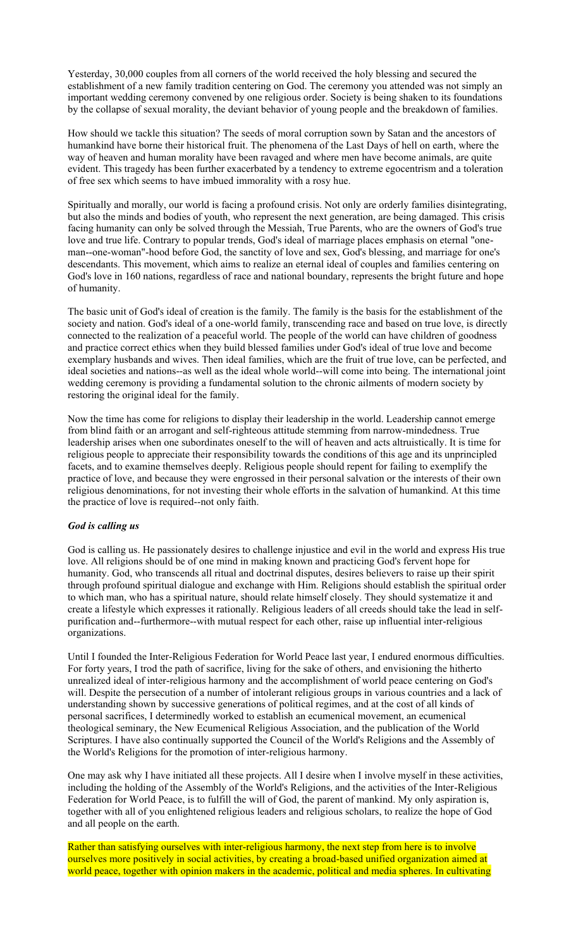Yesterday, 30,000 couples from all corners of the world received the holy blessing and secured the establishment of a new family tradition centering on God. The ceremony you attended was not simply an important wedding ceremony convened by one religious order. Society is being shaken to its foundations by the collapse of sexual morality, the deviant behavior of young people and the breakdown of families.

How should we tackle this situation? The seeds of moral corruption sown by Satan and the ancestors of humankind have borne their historical fruit. The phenomena of the Last Days of hell on earth, where the way of heaven and human morality have been ravaged and where men have become animals, are quite evident. This tragedy has been further exacerbated by a tendency to extreme egocentrism and a toleration of free sex which seems to have imbued immorality with a rosy hue.

Spiritually and morally, our world is facing a profound crisis. Not only are orderly families disintegrating, but also the minds and bodies of youth, who represent the next generation, are being damaged. This crisis facing humanity can only be solved through the Messiah, True Parents, who are the owners of God's true love and true life. Contrary to popular trends, God's ideal of marriage places emphasis on eternal "oneman--one-woman"-hood before God, the sanctity of love and sex, God's blessing, and marriage for one's descendants. This movement, which aims to realize an eternal ideal of couples and families centering on God's love in 160 nations, regardless of race and national boundary, represents the bright future and hope of humanity.

The basic unit of God's ideal of creation is the family. The family is the basis for the establishment of the society and nation. God's ideal of a one-world family, transcending race and based on true love, is directly connected to the realization of a peaceful world. The people of the world can have children of goodness and practice correct ethics when they build blessed families under God's ideal of true love and become exemplary husbands and wives. Then ideal families, which are the fruit of true love, can be perfected, and ideal societies and nations--as well as the ideal whole world--will come into being. The international joint wedding ceremony is providing a fundamental solution to the chronic ailments of modern society by restoring the original ideal for the family.

Now the time has come for religions to display their leadership in the world. Leadership cannot emerge from blind faith or an arrogant and self-righteous attitude stemming from narrow-mindedness. True leadership arises when one subordinates oneself to the will of heaven and acts altruistically. It is time for religious people to appreciate their responsibility towards the conditions of this age and its unprincipled facets, and to examine themselves deeply. Religious people should repent for failing to exemplify the practice of love, and because they were engrossed in their personal salvation or the interests of their own religious denominations, for not investing their whole efforts in the salvation of humankind. At this time the practice of love is required--not only faith.

#### *God is calling us*

God is calling us. He passionately desires to challenge injustice and evil in the world and express His true love. All religions should be of one mind in making known and practicing God's fervent hope for humanity. God, who transcends all ritual and doctrinal disputes, desires believers to raise up their spirit through profound spiritual dialogue and exchange with Him. Religions should establish the spiritual order to which man, who has a spiritual nature, should relate himself closely. They should systematize it and create a lifestyle which expresses it rationally. Religious leaders of all creeds should take the lead in selfpurification and--furthermore--with mutual respect for each other, raise up influential inter-religious organizations.

Until I founded the Inter-Religious Federation for World Peace last year, I endured enormous difficulties. For forty years, I trod the path of sacrifice, living for the sake of others, and envisioning the hitherto unrealized ideal of inter-religious harmony and the accomplishment of world peace centering on God's will. Despite the persecution of a number of intolerant religious groups in various countries and a lack of understanding shown by successive generations of political regimes, and at the cost of all kinds of personal sacrifices, I determinedly worked to establish an ecumenical movement, an ecumenical theological seminary, the New Ecumenical Religious Association, and the publication of the World Scriptures. I have also continually supported the Council of the World's Religions and the Assembly of the World's Religions for the promotion of inter-religious harmony.

One may ask why I have initiated all these projects. All I desire when I involve myself in these activities, including the holding of the Assembly of the World's Religions, and the activities of the Inter-Religious Federation for World Peace, is to fulfill the will of God, the parent of mankind. My only aspiration is, together with all of you enlightened religious leaders and religious scholars, to realize the hope of God and all people on the earth.

Rather than satisfying ourselves with inter-religious harmony, the next step from here is to involve ourselves more positively in social activities, by creating a broad-based unified organization aimed at world peace, together with opinion makers in the academic, political and media spheres. In cultivating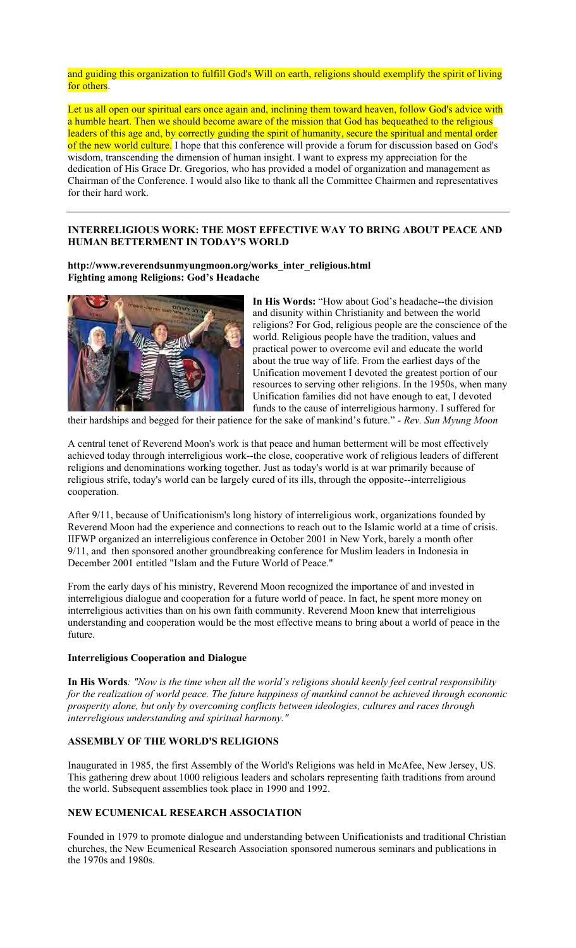### and guiding this organization to fulfill God's Will on earth, religions should exemplify the spirit of living for others.

Let us all open our spiritual ears once again and, inclining them toward heaven, follow God's advice with a humble heart. Then we should become aware of the mission that God has bequeathed to the religious leaders of this age and, by correctly guiding the spirit of humanity, secure the spiritual and mental order of the new world culture. I hope that this conference will provide a forum for discussion based on God's wisdom, transcending the dimension of human insight. I want to express my appreciation for the dedication of His Grace Dr. Gregorios, who has provided a model of organization and management as Chairman of the Conference. I would also like to thank all the Committee Chairmen and representatives for their hard work.

## **INTERRELIGIOUS WORK: THE MOST EFFECTIVE WAY TO BRING ABOUT PEACE AND HUMAN BETTERMENT IN TODAY'S WORLD**

**http://www.reverendsunmyungmoon.org/works\_inter\_religious.html Fighting among Religions: God's Headache** 



**In His Words:** "How about God's headache--the division and disunity within Christianity and between the world religions? For God, religious people are the conscience of the world. Religious people have the tradition, values and practical power to overcome evil and educate the world about the true way of life. From the earliest days of the Unification movement I devoted the greatest portion of our resources to serving other religions. In the 1950s, when many Unification families did not have enough to eat, I devoted funds to the cause of interreligious harmony. I suffered for

their hardships and begged for their patience for the sake of mankind's future." - *Rev. Sun Myung Moon* 

A central tenet of Reverend Moon's work is that peace and human betterment will be most effectively achieved today through interreligious work--the close, cooperative work of religious leaders of different religions and denominations working together. Just as today's world is at war primarily because of religious strife, today's world can be largely cured of its ills, through the opposite--interreligious cooperation.

After 9/11, because of Unificationism's long history of interreligious work, organizations founded by Reverend Moon had the experience and connections to reach out to the Islamic world at a time of crisis. IIFWP organized an interreligious conference in October 2001 in New York, barely a month ofter 9/11, and then sponsored another groundbreaking conference for Muslim leaders in Indonesia in December 2001 entitled "Islam and the Future World of Peace."

From the early days of his ministry, Reverend Moon recognized the importance of and invested in interreligious dialogue and cooperation for a future world of peace. In fact, he spent more money on interreligious activities than on his own faith community. Reverend Moon knew that interreligious understanding and cooperation would be the most effective means to bring about a world of peace in the future.

### **Interreligious Cooperation and Dialogue**

**In His Words***: "Now is the time when all the world's religions should keenly feel central responsibility for the realization of world peace. The future happiness of mankind cannot be achieved through economic prosperity alone, but only by overcoming conflicts between ideologies, cultures and races through interreligious understanding and spiritual harmony."*

## **ASSEMBLY OF THE WORLD'S RELIGIONS**

Inaugurated in 1985, the first Assembly of the World's Religions was held in McAfee, New Jersey, US. This gathering drew about 1000 religious leaders and scholars representing faith traditions from around the world. Subsequent assemblies took place in 1990 and 1992.

### **NEW ECUMENICAL RESEARCH ASSOCIATION**

Founded in 1979 to promote dialogue and understanding between Unificationists and traditional Christian churches, the New Ecumenical Research Association sponsored numerous seminars and publications in the 1970s and 1980s.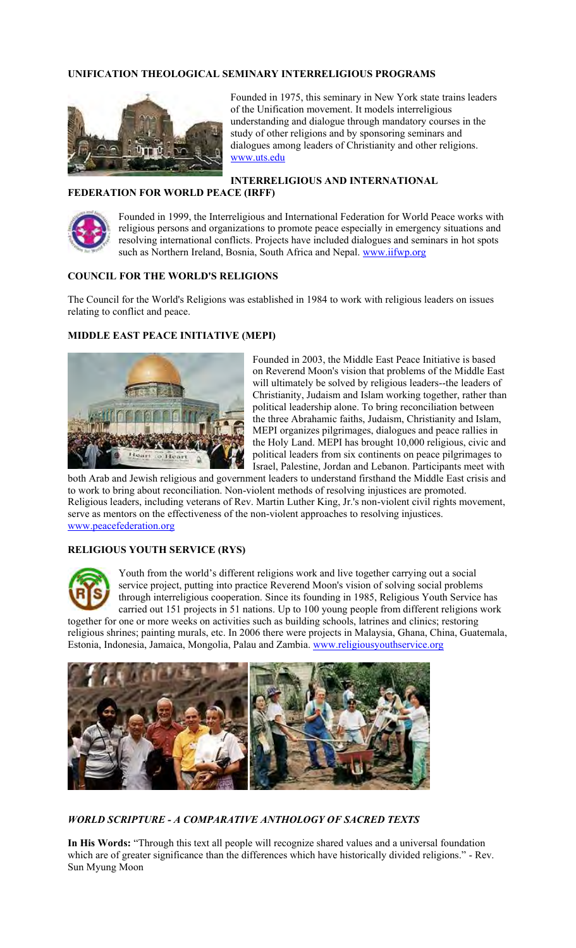# **UNIFICATION THEOLOGICAL SEMINARY INTERRELIGIOUS PROGRAMS**



Founded in 1975, this seminary in New York state trains leaders of the Unification movement. It models interreligious understanding and dialogue through mandatory courses in the study of other religions and by sponsoring seminars and dialogues among leaders of Christianity and other religions. www.uts.edu

**INTERRELIGIOUS AND INTERNATIONAL FEDERATION FOR WORLD PEACE (IRFF)** 



Founded in 1999, the Interreligious and International Federation for World Peace works with religious persons and organizations to promote peace especially in emergency situations and resolving international conflicts. Projects have included dialogues and seminars in hot spots such as Northern Ireland, Bosnia, South Africa and Nepal. www.iifwp.org

## **COUNCIL FOR THE WORLD'S RELIGIONS**

The Council for the World's Religions was established in 1984 to work with religious leaders on issues relating to conflict and peace.

## **MIDDLE EAST PEACE INITIATIVE (MEPI)**



Founded in 2003, the Middle East Peace Initiative is based on Reverend Moon's vision that problems of the Middle East will ultimately be solved by religious leaders--the leaders of Christianity, Judaism and Islam working together, rather than political leadership alone. To bring reconciliation between the three Abrahamic faiths, Judaism, Christianity and Islam, MEPI organizes pilgrimages, dialogues and peace rallies in the Holy Land. MEPI has brought 10,000 religious, civic and political leaders from six continents on peace pilgrimages to Israel, Palestine, Jordan and Lebanon. Participants meet with

both Arab and Jewish religious and government leaders to understand firsthand the Middle East crisis and to work to bring about reconciliation. Non-violent methods of resolving injustices are promoted. Religious leaders, including veterans of Rev. Martin Luther King, Jr.'s non-violent civil rights movement, serve as mentors on the effectiveness of the non-violent approaches to resolving injustices. www.peacefederation.org

### **RELIGIOUS YOUTH SERVICE (RYS)**



Youth from the world's different religions work and live together carrying out a social service project, putting into practice Reverend Moon's vision of solving social problems through interreligious cooperation. Since its founding in 1985, Religious Youth Service has carried out 151 projects in 51 nations. Up to 100 young people from different religions work

together for one or more weeks on activities such as building schools, latrines and clinics; restoring religious shrines; painting murals, etc. In 2006 there were projects in Malaysia, Ghana, China, Guatemala, Estonia, Indonesia, Jamaica, Mongolia, Palau and Zambia. www.religiousyouthservice.org



*WORLD SCRIPTURE - A COMPARATIVE ANTHOLOGY OF SACRED TEXTS*

**In His Words:** "Through this text all people will recognize shared values and a universal foundation which are of greater significance than the differences which have historically divided religions." - Rev. Sun Myung Moon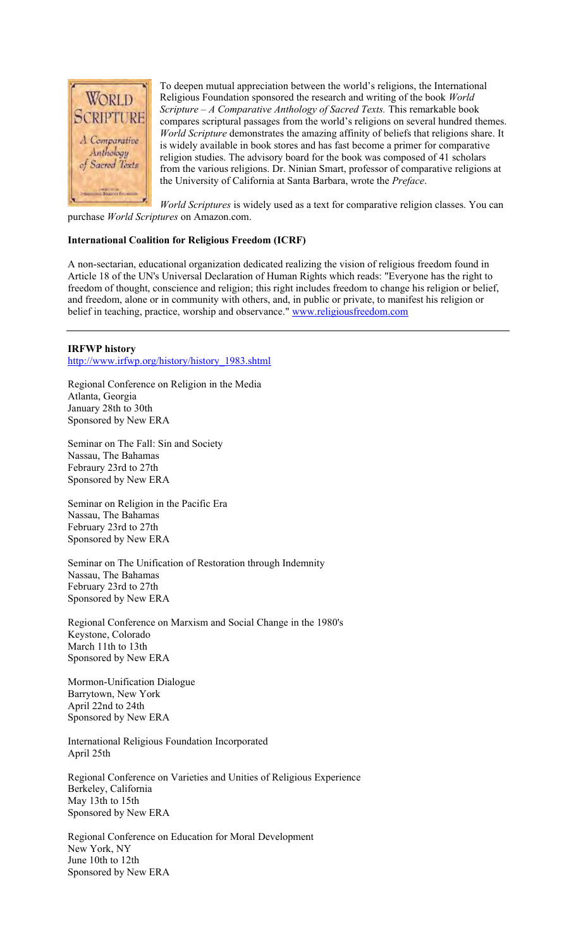

To deepen mutual appreciation between the world's religions, the International Religious Foundation sponsored the research and writing of the book *World Scripture – A Comparative Anthology of Sacred Texts.* This remarkable book compares scriptural passages from the world's religions on several hundred themes. *World Scripture* demonstrates the amazing affinity of beliefs that religions share. It is widely available in book stores and has fast become a primer for comparative religion studies. The advisory board for the book was composed of 41 scholars from the various religions. Dr. Ninian Smart, professor of comparative religions at the University of California at Santa Barbara, wrote the *Preface*.

*World Scriptures* is widely used as a text for comparative religion classes. You can purchase *World Scriptures* on Amazon.com.

### **International Coalition for Religious Freedom (ICRF)**

A non-sectarian, educational organization dedicated realizing the vision of religious freedom found in Article 18 of the UN's Universal Declaration of Human Rights which reads: "Everyone has the right to freedom of thought, conscience and religion; this right includes freedom to change his religion or belief, and freedom, alone or in community with others, and, in public or private, to manifest his religion or belief in teaching, practice, worship and observance." www.religiousfreedom.com

#### **IRFWP history**  http://www.irfwp.org/history/history\_1983.shtml

Regional Conference on Religion in the Media Atlanta, Georgia January 28th to 30th Sponsored by New ERA

Seminar on The Fall: Sin and Society Nassau, The Bahamas Febraury 23rd to 27th Sponsored by New ERA

Seminar on Religion in the Pacific Era Nassau, The Bahamas February 23rd to 27th Sponsored by New ERA

Seminar on The Unification of Restoration through Indemnity Nassau, The Bahamas February 23rd to 27th Sponsored by New ERA

Regional Conference on Marxism and Social Change in the 1980's Keystone, Colorado March 11th to 13th Sponsored by New ERA

Mormon-Unification Dialogue Barrytown, New York April 22nd to 24th Sponsored by New ERA

International Religious Foundation Incorporated April 25th

Regional Conference on Varieties and Unities of Religious Experience Berkeley, California May 13th to 15th Sponsored by New ERA

Regional Conference on Education for Moral Development New York, NY June 10th to 12th Sponsored by New ERA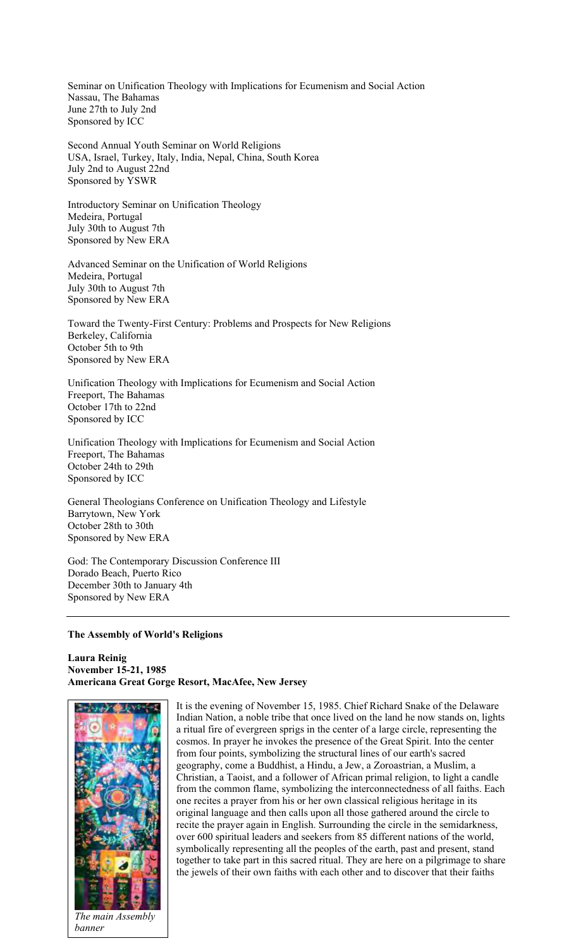Seminar on Unification Theology with Implications for Ecumenism and Social Action Nassau, The Bahamas June 27th to July 2nd Sponsored by ICC

Second Annual Youth Seminar on World Religions USA, Israel, Turkey, Italy, India, Nepal, China, South Korea July 2nd to August 22nd Sponsored by YSWR

Introductory Seminar on Unification Theology Medeira, Portugal July 30th to August 7th Sponsored by New ERA

Advanced Seminar on the Unification of World Religions Medeira, Portugal July 30th to August 7th Sponsored by New ERA

Toward the Twenty-First Century: Problems and Prospects for New Religions Berkeley, California October 5th to 9th Sponsored by New ERA

Unification Theology with Implications for Ecumenism and Social Action Freeport, The Bahamas October 17th to 22nd Sponsored by ICC

Unification Theology with Implications for Ecumenism and Social Action Freeport, The Bahamas October 24th to 29th Sponsored by ICC

General Theologians Conference on Unification Theology and Lifestyle Barrytown, New York October 28th to 30th Sponsored by New ERA

God: The Contemporary Discussion Conference III Dorado Beach, Puerto Rico December 30th to January 4th Sponsored by New ERA

**The Assembly of World's Religions** 

**Laura Reinig November 15-21, 1985 Americana Great Gorge Resort, MacAfee, New Jersey** 



It is the evening of November 15, 1985. Chief Richard Snake of the Delaware Indian Nation, a noble tribe that once lived on the land he now stands on, lights a ritual fire of evergreen sprigs in the center of a large circle, representing the cosmos. In prayer he invokes the presence of the Great Spirit. Into the center from four points, symbolizing the structural lines of our earth's sacred geography, come a Buddhist, a Hindu, a Jew, a Zoroastrian, a Muslim, a Christian, a Taoist, and a follower of African primal religion, to light a candle from the common flame, symbolizing the interconnectedness of all faiths. Each one recites a prayer from his or her own classical religious heritage in its original language and then calls upon all those gathered around the circle to recite the prayer again in English. Surrounding the circle in the semidarkness, over 600 spiritual leaders and seekers from 85 different nations of the world, symbolically representing all the peoples of the earth, past and present, stand together to take part in this sacred ritual. They are here on a pilgrimage to share the jewels of their own faiths with each other and to discover that their faiths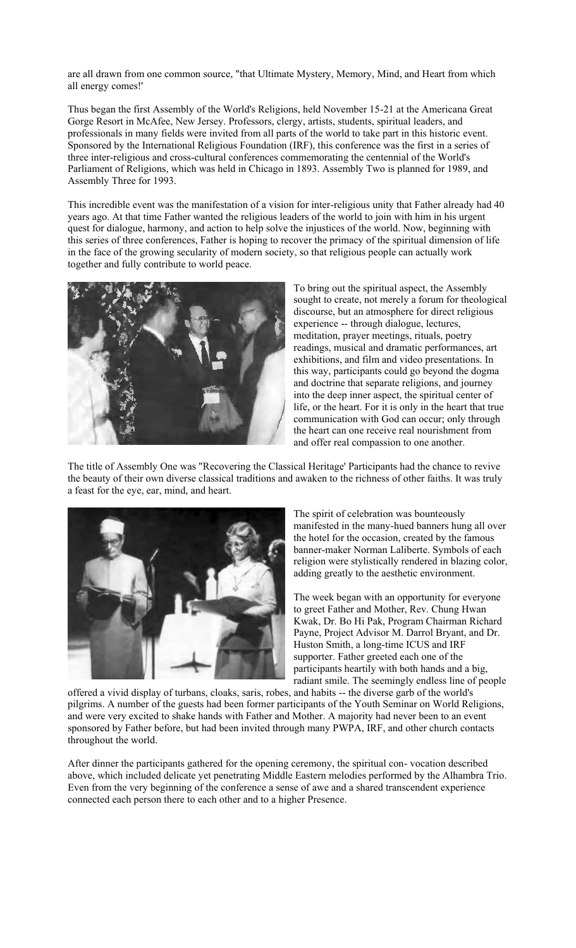are all drawn from one common source, "that Ultimate Mystery, Memory, Mind, and Heart from which all energy comes!'

Thus began the first Assembly of the World's Religions, held November 15-21 at the Americana Great Gorge Resort in McAfee, New Jersey. Professors, clergy, artists, students, spiritual leaders, and professionals in many fields were invited from all parts of the world to take part in this historic event. Sponsored by the International Religious Foundation (IRF), this conference was the first in a series of three inter-religious and cross-cultural conferences commemorating the centennial of the World's Parliament of Religions, which was held in Chicago in 1893. Assembly Two is planned for 1989, and Assembly Three for 1993.

This incredible event was the manifestation of a vision for inter-religious unity that Father already had 40 years ago. At that time Father wanted the religious leaders of the world to join with him in his urgent quest for dialogue, harmony, and action to help solve the injustices of the world. Now, beginning with this series of three conferences, Father is hoping to recover the primacy of the spiritual dimension of life in the face of the growing secularity of modern society, so that religious people can actually work together and fully contribute to world peace.



To bring out the spiritual aspect, the Assembly sought to create, not merely a forum for theological discourse, but an atmosphere for direct religious experience -- through dialogue, lectures, meditation, prayer meetings, rituals, poetry readings, musical and dramatic performances, art exhibitions, and film and video presentations. In this way, participants could go beyond the dogma and doctrine that separate religions, and journey into the deep inner aspect, the spiritual center of life, or the heart. For it is only in the heart that true communication with God can occur; only through the heart can one receive real nourishment from and offer real compassion to one another.

The title of Assembly One was "Recovering the Classical Heritage' Participants had the chance to revive the beauty of their own diverse classical traditions and awaken to the richness of other faiths. It was truly a feast for the eye, ear, mind, and heart.



The spirit of celebration was bounteously manifested in the many-hued banners hung all over the hotel for the occasion, created by the famous banner-maker Norman Laliberte. Symbols of each religion were stylistically rendered in blazing color, adding greatly to the aesthetic environment.

The week began with an opportunity for everyone to greet Father and Mother, Rev. Chung Hwan Kwak, Dr. Bo Hi Pak, Program Chairman Richard Payne, Project Advisor M. Darrol Bryant, and Dr. Huston Smith, a long-time ICUS and IRF supporter. Father greeted each one of the participants heartily with both hands and a big, radiant smile. The seemingly endless line of people

offered a vivid display of turbans, cloaks, saris, robes, and habits -- the diverse garb of the world's pilgrims. A number of the guests had been former participants of the Youth Seminar on World Religions, and were very excited to shake hands with Father and Mother. A majority had never been to an event sponsored by Father before, but had been invited through many PWPA, IRF, and other church contacts throughout the world.

After dinner the participants gathered for the opening ceremony, the spiritual con- vocation described above, which included delicate yet penetrating Middle Eastern melodies performed by the Alhambra Trio. Even from the very beginning of the conference a sense of awe and a shared transcendent experience connected each person there to each other and to a higher Presence.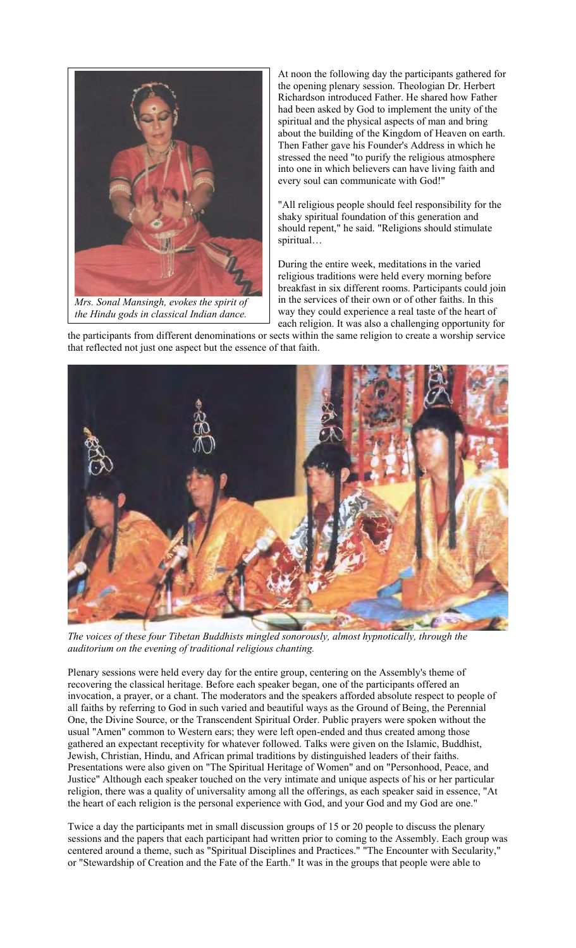

*Mrs. Sonal Mansingh, evokes the spirit of the Hindu gods in classical Indian dance.*

At noon the following day the participants gathered for the opening plenary session. Theologian Dr. Herbert Richardson introduced Father. He shared how Father had been asked by God to implement the unity of the spiritual and the physical aspects of man and bring about the building of the Kingdom of Heaven on earth. Then Father gave his Founder's Address in which he stressed the need "to purify the religious atmosphere into one in which believers can have living faith and every soul can communicate with God!"

"All religious people should feel responsibility for the shaky spiritual foundation of this generation and should repent," he said. "Religions should stimulate spiritual…

During the entire week, meditations in the varied religious traditions were held every morning before breakfast in six different rooms. Participants could join in the services of their own or of other faiths. In this way they could experience a real taste of the heart of each religion. It was also a challenging opportunity for

the participants from different denominations or sects within the same religion to create a worship service that reflected not just one aspect but the essence of that faith.



*The voices of these four Tibetan Buddhists mingled sonorously, almost hypnotically, through the auditorium on the evening of traditional religious chanting.*

Plenary sessions were held every day for the entire group, centering on the Assembly's theme of recovering the classical heritage. Before each speaker began, one of the participants offered an invocation, a prayer, or a chant. The moderators and the speakers afforded absolute respect to people of all faiths by referring to God in such varied and beautiful ways as the Ground of Being, the Perennial One, the Divine Source, or the Transcendent Spiritual Order. Public prayers were spoken without the usual "Amen" common to Western ears; they were left open-ended and thus created among those gathered an expectant receptivity for whatever followed. Talks were given on the Islamic, Buddhist, Jewish, Christian, Hindu, and African primal traditions by distinguished leaders of their faiths. Presentations were also given on "The Spiritual Heritage of Women" and on "Personhood, Peace, and Justice" Although each speaker touched on the very intimate and unique aspects of his or her particular religion, there was a quality of universality among all the offerings, as each speaker said in essence, "At the heart of each religion is the personal experience with God, and your God and my God are one."

Twice a day the participants met in small discussion groups of 15 or 20 people to discuss the plenary sessions and the papers that each participant had written prior to coming to the Assembly. Each group was centered around a theme, such as "Spiritual Disciplines and Practices." "The Encounter with Secularity," or "Stewardship of Creation and the Fate of the Earth." It was in the groups that people were able to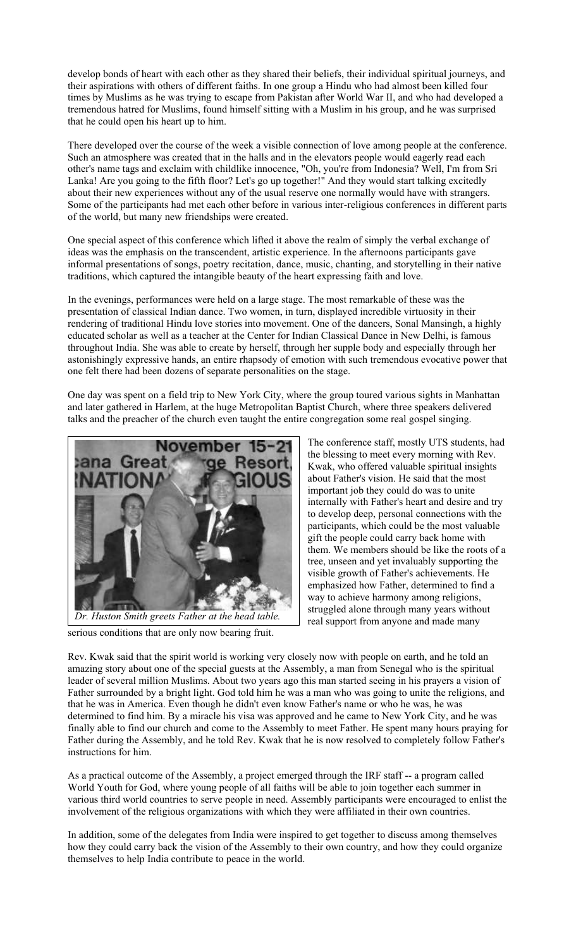develop bonds of heart with each other as they shared their beliefs, their individual spiritual journeys, and their aspirations with others of different faiths. In one group a Hindu who had almost been killed four times by Muslims as he was trying to escape from Pakistan after World War II, and who had developed a tremendous hatred for Muslims, found himself sitting with a Muslim in his group, and he was surprised that he could open his heart up to him.

There developed over the course of the week a visible connection of love among people at the conference. Such an atmosphere was created that in the halls and in the elevators people would eagerly read each other's name tags and exclaim with childlike innocence, "Oh, you're from Indonesia? Well, I'm from Sri Lanka! Are you going to the fifth floor? Let's go up together!" And they would start talking excitedly about their new experiences without any of the usual reserve one normally would have with strangers. Some of the participants had met each other before in various inter-religious conferences in different parts of the world, but many new friendships were created.

One special aspect of this conference which lifted it above the realm of simply the verbal exchange of ideas was the emphasis on the transcendent, artistic experience. In the afternoons participants gave informal presentations of songs, poetry recitation, dance, music, chanting, and storytelling in their native traditions, which captured the intangible beauty of the heart expressing faith and love.

In the evenings, performances were held on a large stage. The most remarkable of these was the presentation of classical Indian dance. Two women, in turn, displayed incredible virtuosity in their rendering of traditional Hindu love stories into movement. One of the dancers, Sonal Mansingh, a highly educated scholar as well as a teacher at the Center for Indian Classical Dance in New Delhi, is famous throughout India. She was able to create by herself, through her supple body and especially through her astonishingly expressive hands, an entire rhapsody of emotion with such tremendous evocative power that one felt there had been dozens of separate personalities on the stage.

One day was spent on a field trip to New York City, where the group toured various sights in Manhattan and later gathered in Harlem, at the huge Metropolitan Baptist Church, where three speakers delivered talks and the preacher of the church even taught the entire congregation some real gospel singing.



serious conditions that are only now bearing fruit. *Dr. Huston Smith greets Father at the head table.*

The conference staff, mostly UTS students, had the blessing to meet every morning with Rev. Kwak, who offered valuable spiritual insights about Father's vision. He said that the most important job they could do was to unite internally with Father's heart and desire and try to develop deep, personal connections with the participants, which could be the most valuable gift the people could carry back home with them. We members should be like the roots of a tree, unseen and yet invaluably supporting the visible growth of Father's achievements. He emphasized how Father, determined to find a way to achieve harmony among religions, struggled alone through many years without real support from anyone and made many

Rev. Kwak said that the spirit world is working very closely now with people on earth, and he told an amazing story about one of the special guests at the Assembly, a man from Senegal who is the spiritual leader of several million Muslims. About two years ago this man started seeing in his prayers a vision of Father surrounded by a bright light. God told him he was a man who was going to unite the religions, and that he was in America. Even though he didn't even know Father's name or who he was, he was determined to find him. By a miracle his visa was approved and he came to New York City, and he was finally able to find our church and come to the Assembly to meet Father. He spent many hours praying for Father during the Assembly, and he told Rev. Kwak that he is now resolved to completely follow Father's instructions for him.

As a practical outcome of the Assembly, a project emerged through the IRF staff -- a program called World Youth for God, where young people of all faiths will be able to join together each summer in various third world countries to serve people in need. Assembly participants were encouraged to enlist the involvement of the religious organizations with which they were affiliated in their own countries.

In addition, some of the delegates from India were inspired to get together to discuss among themselves how they could carry back the vision of the Assembly to their own country, and how they could organize themselves to help India contribute to peace in the world.